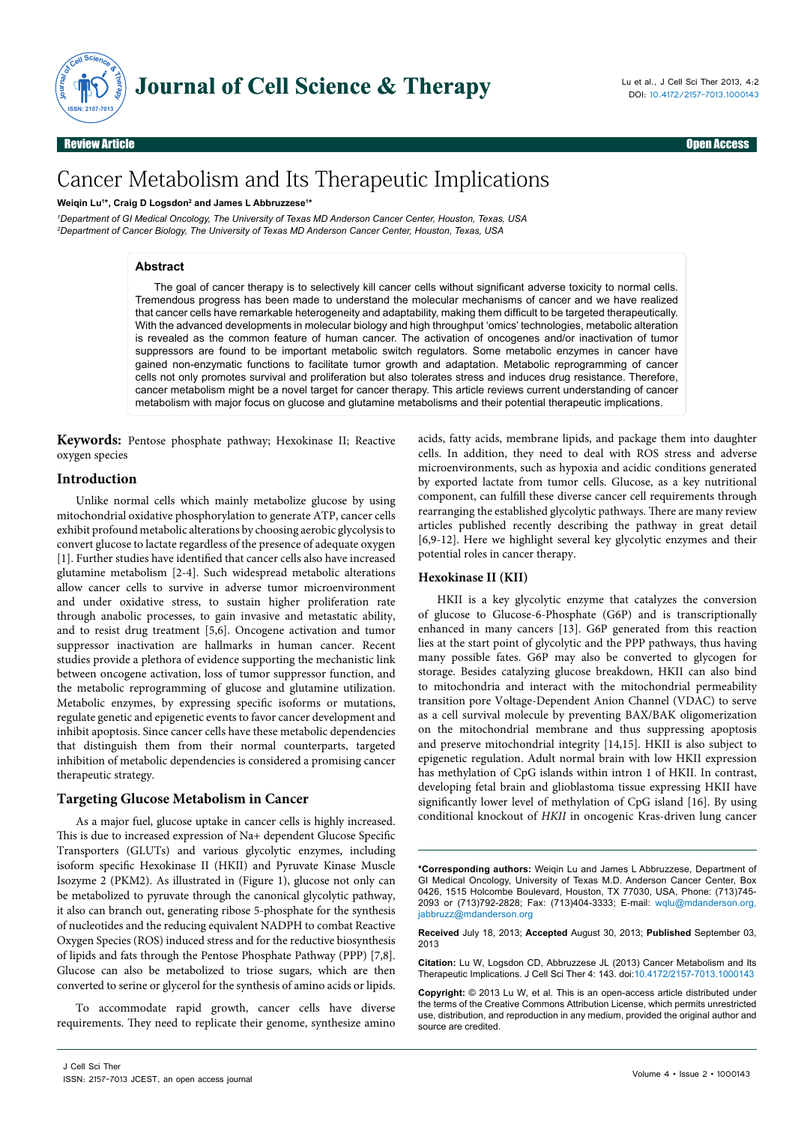

Review Article Open Access

# Cancer Metabolism and Its Therapeutic Implications

**Weiqin Lu1 \*, Craig D Logsdon2 and James L Abbruzzese1 \***

*1 Department of GI Medical Oncology, The University of Texas MD Anderson Cancer Center, Houston, Texas, USA 2 Department of Cancer Biology, The University of Texas MD Anderson Cancer Center, Houston, Texas, USA*

## **Abstract**

The goal of cancer therapy is to selectively kill cancer cells without significant adverse toxicity to normal cells. Tremendous progress has been made to understand the molecular mechanisms of cancer and we have realized that cancer cells have remarkable heterogeneity and adaptability, making them difficult to be targeted therapeutically. With the advanced developments in molecular biology and high throughput 'omics' technologies, metabolic alteration is revealed as the common feature of human cancer. The activation of oncogenes and/or inactivation of tumor suppressors are found to be important metabolic switch regulators. Some metabolic enzymes in cancer have gained non-enzymatic functions to facilitate tumor growth and adaptation. Metabolic reprogramming of cancer cells not only promotes survival and proliferation but also tolerates stress and induces drug resistance. Therefore, cancer metabolism might be a novel target for cancer therapy. This article reviews current understanding of cancer metabolism with major focus on glucose and glutamine metabolisms and their potential therapeutic implications.

**Keywords:** Pentose phosphate pathway; Hexokinase II; Reactive oxygen species

## **Introduction**

Unlike normal cells which mainly metabolize glucose by using mitochondrial oxidative phosphorylation to generate ATP, cancer cells exhibit profound metabolic alterations by choosing aerobic glycolysis to convert glucose to lactate regardless of the presence of adequate oxygen [1]. Further studies have identified that cancer cells also have increased glutamine metabolism [2-4]. Such widespread metabolic alterations allow cancer cells to survive in adverse tumor microenvironment and under oxidative stress, to sustain higher proliferation rate through anabolic processes, to gain invasive and metastatic ability, and to resist drug treatment [5,6]. Oncogene activation and tumor suppressor inactivation are hallmarks in human cancer. Recent studies provide a plethora of evidence supporting the mechanistic link between oncogene activation, loss of tumor suppressor function, and the metabolic reprogramming of glucose and glutamine utilization. Metabolic enzymes, by expressing specific isoforms or mutations, regulate genetic and epigenetic events to favor cancer development and inhibit apoptosis. Since cancer cells have these metabolic dependencies that distinguish them from their normal counterparts, targeted inhibition of metabolic dependencies is considered a promising cancer therapeutic strategy.

#### **Targeting Glucose Metabolism in Cancer**

As a major fuel, glucose uptake in cancer cells is highly increased. This is due to increased expression of Na+ dependent Glucose Specific Transporters (GLUTs) and various glycolytic enzymes, including isoform specific Hexokinase II (HKII) and Pyruvate Kinase Muscle Isozyme 2 (PKM2). As illustrated in (Figure 1), glucose not only can be metabolized to pyruvate through the canonical glycolytic pathway, it also can branch out, generating ribose 5-phosphate for the synthesis of nucleotides and the reducing equivalent NADPH to combat Reactive Oxygen Species (ROS) induced stress and for the reductive biosynthesis of lipids and fats through the Pentose Phosphate Pathway (PPP) [7,8]. Glucose can also be metabolized to triose sugars, which are then converted to serine or glycerol for the synthesis of amino acids or lipids.

To accommodate rapid growth, cancer cells have diverse requirements. They need to replicate their genome, synthesize amino acids, fatty acids, membrane lipids, and package them into daughter cells. In addition, they need to deal with ROS stress and adverse microenvironments, such as hypoxia and acidic conditions generated by exported lactate from tumor cells. Glucose, as a key nutritional component, can fulfill these diverse cancer cell requirements through rearranging the established glycolytic pathways. There are many review articles published recently describing the pathway in great detail [6,9-12]. Here we highlight several key glycolytic enzymes and their potential roles in cancer therapy.

#### **Hexokinase II (KII)**

HKII is a key glycolytic enzyme that catalyzes the conversion of glucose to Glucose-6-Phosphate (G6P) and is transcriptionally enhanced in many cancers [13]. G6P generated from this reaction lies at the start point of glycolytic and the PPP pathways, thus having many possible fates. G6P may also be converted to glycogen for storage. Besides catalyzing glucose breakdown, HKII can also bind to mitochondria and interact with the mitochondrial permeability transition pore Voltage-Dependent Anion Channel (VDAC) to serve as a cell survival molecule by preventing BAX/BAK oligomerization on the mitochondrial membrane and thus suppressing apoptosis and preserve mitochondrial integrity [14,15]. HKII is also subject to epigenetic regulation. Adult normal brain with low HKII expression has methylation of CpG islands within intron 1 of HKII. In contrast, developing fetal brain and glioblastoma tissue expressing HKII have significantly lower level of methylation of CpG island [16]. By using conditional knockout of *HKII* in oncogenic Kras-driven lung cancer

**Received** July 18, 2013; **Accepted** August 30, 2013; **Published** September 03, 2013

**Citation:** Lu W, Logsdon CD, Abbruzzese JL (2013) Cancer Metabolism and Its Therapeutic Implications. J Cell Sci Ther 4: 143. doi:10.4172/2157-7013.1000143

**Copyright:** © 2013 Lu W, et al. This is an open-access article distributed under the terms of the Creative Commons Attribution License, which permits unrestricted use, distribution, and reproduction in any medium, provided the original author and source are credited.

**<sup>\*</sup>Corresponding authors:** Weiqin Lu and James L Abbruzzese, Department of GI Medical Oncology, University of Texas M.D. Anderson Cancer Center, Box 0426, 1515 Holcombe Boulevard, Houston, TX 77030, USA, Phone: (713)745- 2093 or (713)792-2828; Fax: (713)404-3333; E-mail: wqlu@mdanderson.org, jabbruzz@mdanderson.org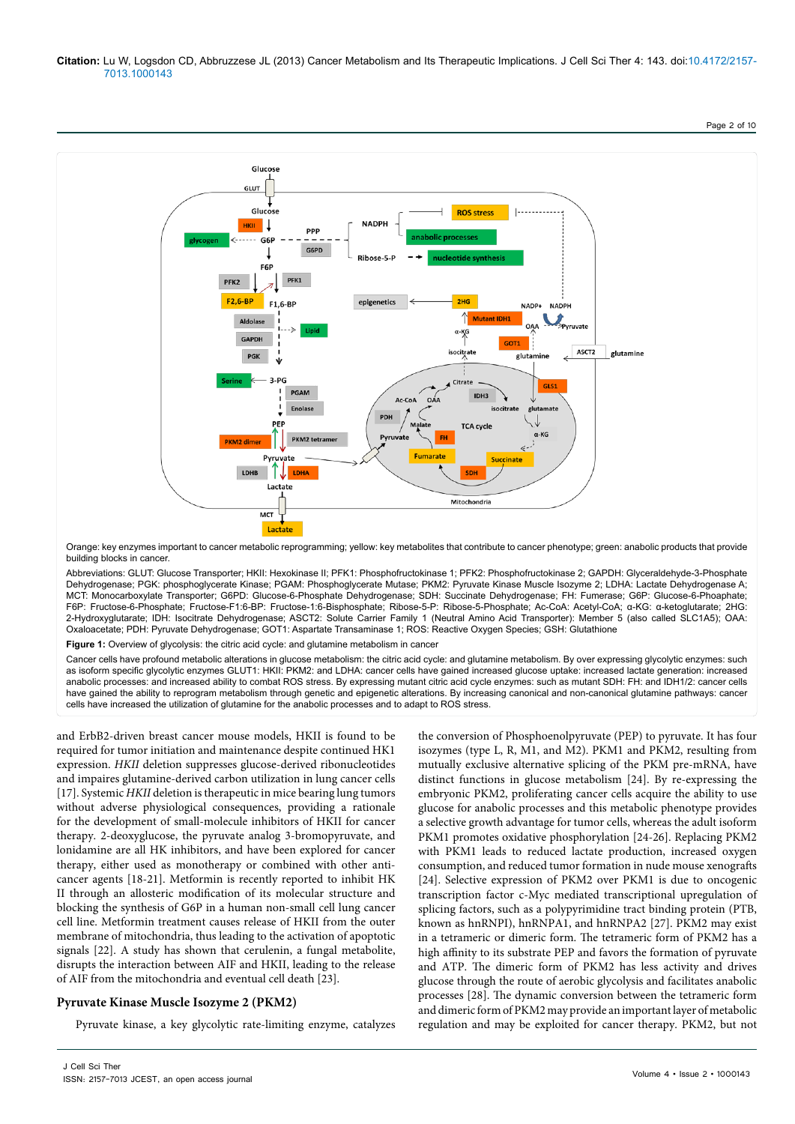

Orange: key enzymes important to cancer metabolic reprogramming; yellow: key metabolites that contribute to cancer phenotype; green: anabolic products that provide building blocks in cancer.

Abbreviations: GLUT: Glucose Transporter; HKII: Hexokinase II; PFK1: Phosphofructokinase 1; PFK2: Phosphofructokinase 2; GAPDH: Glyceraldehyde-3-Phosphate Dehydrogenase; PGK: phosphoglycerate Kinase; PGAM: Phosphoglycerate Mutase; PKM2: Pyruvate Kinase Muscle Isozyme 2; LDHA: Lactate Dehydrogenase A; MCT: Monocarboxylate Transporter; G6PD: Glucose-6-Phosphate Dehydrogenase; SDH: Succinate Dehydrogenase; FH: Fumerase; G6P: Glucose-6-Phoaphate; F6P: Fructose-6-Phosphate; Fructose-F1:6-BP: Fructose-1:6-Bisphosphate; Ribose-5-P: Ribose-5-Phosphate; Ac-CoA: Acetyl-CoA; α-KG: α-ketoglutarate; 2HG: 2-Hydroxyglutarate; IDH: Isocitrate Dehydrogenase; ASCT2: Solute Carrier Family 1 (Neutral Amino Acid Transporter): Member 5 (also called SLC1A5); OAA: Oxaloacetate; PDH: Pyruvate Dehydrogenase; GOT1: Aspartate Transaminase 1; ROS: Reactive Oxygen Species; GSH: Glutathione

Figure 1: Overview of glycolysis: the citric acid cycle: and glutamine metabolism in cancer

Cancer cells have profound metabolic alterations in glucose metabolism: the citric acid cycle: and glutamine metabolism. By over expressing glycolytic enzymes: such as isoform specific glycolytic enzymes GLUT1: HKII: PKM2: and LDHA: cancer cells have gained increased glucose uptake: increased lactate generation: increased anabolic processes: and increased ability to combat ROS stress. By expressing mutant citric acid cycle enzymes: such as mutant SDH: FH: and IDH1/2: cancer cells have gained the ability to reprogram metabolism through genetic and epigenetic alterations. By increasing canonical and non-canonical glutamine pathways: cancer cells have increased the utilization of glutamine for the anabolic processes and to adapt to ROS stress.

and ErbB2-driven breast cancer mouse models, HKII is found to be required for tumor initiation and maintenance despite continued HK1 expression. *HKII* deletion suppresses glucose-derived ribonucleotides and impaires glutamine-derived carbon utilization in lung cancer cells [17]. Systemic *HKII* deletion is therapeutic in mice bearing lung tumors without adverse physiological consequences, providing a rationale for the development of small-molecule inhibitors of HKII for cancer therapy. 2-deoxyglucose, the pyruvate analog 3-bromopyruvate, and lonidamine are all HK inhibitors, and have been explored for cancer therapy, either used as monotherapy or combined with other anticancer agents [18-21]. Metformin is recently reported to inhibit HK II through an allosteric modification of its molecular structure and blocking the synthesis of G6P in a human non-small cell lung cancer cell line. Metformin treatment causes release of HKII from the outer membrane of mitochondria, thus leading to the activation of apoptotic signals [22]. A study has shown that cerulenin, a fungal metabolite, disrupts the interaction between AIF and HKII, leading to the release of AIF from the mitochondria and eventual cell death [23].

# **Pyruvate Kinase Muscle Isozyme 2 (PKM2)**

Pyruvate kinase, a key glycolytic rate-limiting enzyme, catalyzes

the conversion of Phosphoenolpyruvate (PEP) to pyruvate. It has four isozymes (type L, R, M1, and M2). PKM1 and PKM2, resulting from mutually exclusive alternative splicing of the PKM pre-mRNA, have distinct functions in glucose metabolism [24]. By re-expressing the embryonic PKM2, proliferating cancer cells acquire the ability to use glucose for anabolic processes and this metabolic phenotype provides a selective growth advantage for tumor cells, whereas the adult isoform PKM1 promotes oxidative phosphorylation [24-26]. Replacing PKM2 with PKM1 leads to reduced lactate production, increased oxygen consumption, and reduced tumor formation in nude mouse xenografts [24]. Selective expression of PKM2 over PKM1 is due to oncogenic transcription factor c-Myc mediated transcriptional upregulation of splicing factors, such as a polypyrimidine tract binding protein (PTB, known as hnRNPI), hnRNPA1, and hnRNPA2 [27]. PKM2 may exist in a tetrameric or dimeric form. The tetrameric form of PKM2 has a high affinity to its substrate PEP and favors the formation of pyruvate and ATP. The dimeric form of PKM2 has less activity and drives glucose through the route of aerobic glycolysis and facilitates anabolic processes [28]. The dynamic conversion between the tetrameric form and dimeric form of PKM2 may provide an important layer of metabolic regulation and may be exploited for cancer therapy. PKM2, but not

Page 2 of 10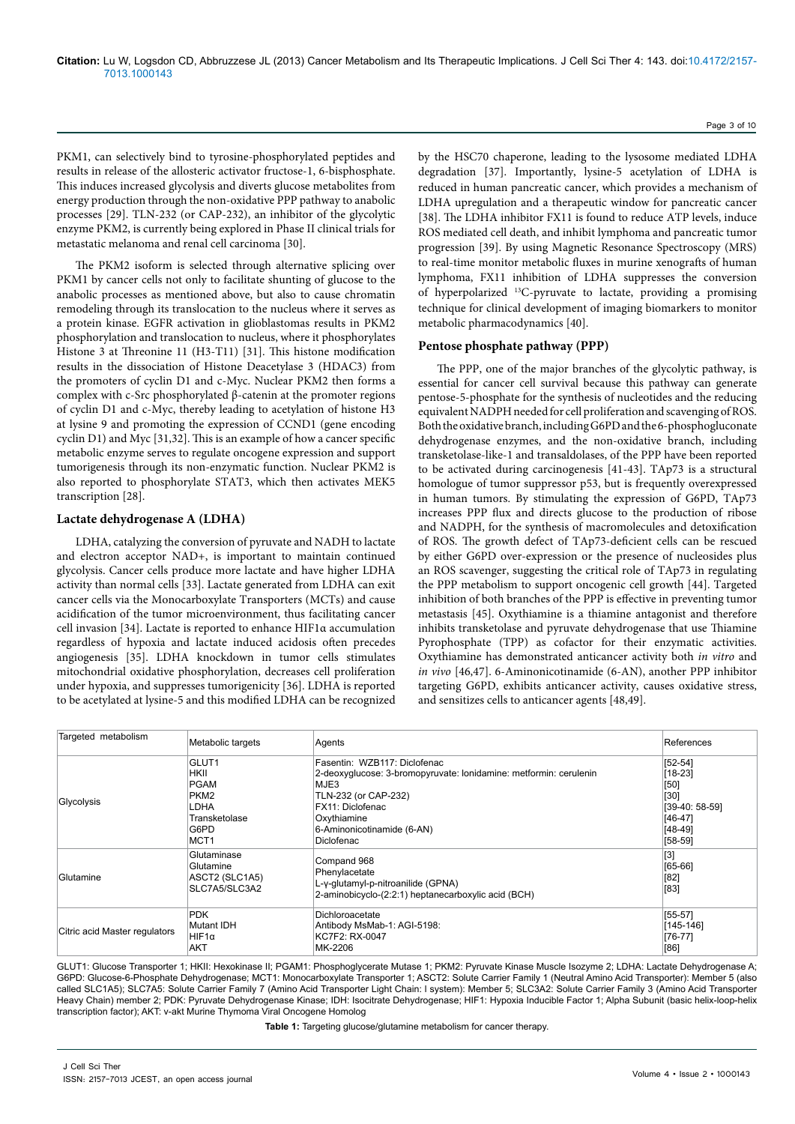PKM1, can selectively bind to tyrosine-phosphorylated peptides and results in release of the allosteric activator fructose-1, 6-bisphosphate. This induces increased glycolysis and diverts glucose metabolites from energy production through the non-oxidative PPP pathway to anabolic processes [29]. TLN-232 (or CAP-232), an inhibitor of the glycolytic enzyme PKM2, is currently being explored in Phase II clinical trials for metastatic melanoma and renal cell carcinoma [30].

The PKM2 isoform is selected through alternative splicing over PKM1 by cancer cells not only to facilitate shunting of glucose to the anabolic processes as mentioned above, but also to cause chromatin remodeling through its translocation to the nucleus where it serves as a protein kinase. EGFR activation in glioblastomas results in PKM2 phosphorylation and translocation to nucleus, where it phosphorylates Histone 3 at Threonine 11 (H3-T11) [31]. This histone modification results in the dissociation of Histone Deacetylase 3 (HDAC3) from the promoters of cyclin D1 and c-Myc. Nuclear PKM2 then forms a complex with c-Src phosphorylated β-catenin at the promoter regions of cyclin D1 and c-Myc, thereby leading to acetylation of histone H3 at lysine 9 and promoting the expression of CCND1 (gene encoding cyclin D1) and Myc [31,32]. This is an example of how a cancer specific metabolic enzyme serves to regulate oncogene expression and support tumorigenesis through its non-enzymatic function. Nuclear PKM2 is also reported to phosphorylate STAT3, which then activates MEK5 transcription [28].

#### **Lactate dehydrogenase A (LDHA)**

LDHA, catalyzing the conversion of pyruvate and NADH to lactate and electron acceptor NAD+, is important to maintain continued glycolysis. Cancer cells produce more lactate and have higher LDHA activity than normal cells [33]. Lactate generated from LDHA can exit cancer cells via the Monocarboxylate Transporters (MCTs) and cause acidification of the tumor microenvironment, thus facilitating cancer cell invasion [34]. Lactate is reported to enhance HIF1α accumulation regardless of hypoxia and lactate induced acidosis often precedes angiogenesis [35]. LDHA knockdown in tumor cells stimulates mitochondrial oxidative phosphorylation, decreases cell proliferation under hypoxia, and suppresses tumorigenicity [36]. LDHA is reported to be acetylated at lysine-5 and this modified LDHA can be recognized by the HSC70 chaperone, leading to the lysosome mediated LDHA degradation [37]. Importantly, lysine-5 acetylation of LDHA is reduced in human pancreatic cancer, which provides a mechanism of LDHA upregulation and a therapeutic window for pancreatic cancer [38]. The LDHA inhibitor FX11 is found to reduce ATP levels, induce ROS mediated cell death, and inhibit lymphoma and pancreatic tumor progression [39]. By using Magnetic Resonance Spectroscopy (MRS) to real-time monitor metabolic fluxes in murine xenografts of human lymphoma, FX11 inhibition of LDHA suppresses the conversion of hyperpolarized 13C-pyruvate to lactate, providing a promising technique for clinical development of imaging biomarkers to monitor metabolic pharmacodynamics [40].

#### **Pentose phosphate pathway (PPP)**

The PPP, one of the major branches of the glycolytic pathway, is essential for cancer cell survival because this pathway can generate pentose-5-phosphate for the synthesis of nucleotides and the reducing equivalent NADPH needed for cell proliferation and scavenging of ROS. Both the oxidative branch, including G6PD and the 6-phosphogluconate dehydrogenase enzymes, and the non-oxidative branch, including transketolase-like-1 and transaldolases, of the PPP have been reported to be activated during carcinogenesis [41-43]. TAp73 is a structural homologue of tumor suppressor p53, but is frequently overexpressed in human tumors. By stimulating the expression of G6PD, TAp73 increases PPP flux and directs glucose to the production of ribose and NADPH, for the synthesis of macromolecules and detoxification of ROS. The growth defect of TAp73-deficient cells can be rescued by either G6PD over-expression or the presence of nucleosides plus an ROS scavenger, suggesting the critical role of TAp73 in regulating the PPP metabolism to support oncogenic cell growth [44]. Targeted inhibition of both branches of the PPP is effective in preventing tumor metastasis [45]. Oxythiamine is a thiamine antagonist and therefore inhibits transketolase and pyruvate dehydrogenase that use Thiamine Pyrophosphate (TPP) as cofactor for their enzymatic activities. Oxythiamine has demonstrated anticancer activity both *in vitro* and *in vivo* [46,47]. 6-Aminonicotinamide (6-AN), another PPP inhibitor targeting G6PD, exhibits anticancer activity, causes oxidative stress, and sensitizes cells to anticancer agents [48,49].

| Targeted metabolism           | Metabolic targets | Agents                                                            | References      |
|-------------------------------|-------------------|-------------------------------------------------------------------|-----------------|
| Glycolysis                    | GLUT1             | Fasentin: WZB117: Diclofenac                                      | $[52-54]$       |
|                               | HKII              | 2-deoxyglucose: 3-bromopyruvate: lonidamine: metformin: cerulenin | $[18-23]$       |
|                               | <b>PGAM</b>       | MJE3                                                              | [50]            |
|                               | PKM <sub>2</sub>  | TLN-232 (or CAP-232)                                              | $[30]$          |
|                               | LDHA              | FX11: Diclofenac                                                  | $[39-40:58-59]$ |
|                               | Transketolase     | Oxythiamine                                                       | [46-47]         |
|                               | G6PD              | 6-Aminonicotinamide (6-AN)                                        | $[48-49]$       |
|                               | MCT <sub>1</sub>  | Diclofenac                                                        | $[58-59]$       |
| Glutamine                     | Glutaminase       | Compand 968                                                       | $[3]$           |
|                               | Glutamine         | Phenylacetate                                                     | $[65-66]$       |
|                               | ASCT2 (SLC1A5)    | L-y-glutamyl-p-nitroanilide (GPNA)                                | $[82]$          |
|                               | SLC7A5/SLC3A2     | 2-aminobicyclo-(2:2:1) heptanecarboxylic acid (BCH)               | $[83]$          |
| Citric acid Master regulators | <b>PDK</b>        | Dichloroacetate                                                   | $[55-57]$       |
|                               | Mutant IDH        | Antibody MsMab-1: AGI-5198:                                       | [145-146]       |
|                               | $HIF1\alpha$      | KC7F2: RX-0047                                                    | $[76-77]$       |
|                               | AKT               | MK-2206                                                           | [86]            |

GLUT1: Glucose Transporter 1; HKII: Hexokinase II; PGAM1: Phosphoglycerate Mutase 1; PKM2: Pyruvate Kinase Muscle Isozyme 2; LDHA: Lactate Dehydrogenase A; G6PD: Glucose-6-Phosphate Dehydrogenase; MCT1: Monocarboxylate Transporter 1; ASCT2: Solute Carrier Family 1 (Neutral Amino Acid Transporter): Member 5 (also called SLC1A5); SLC7A5: Solute Carrier Family 7 (Amino Acid Transporter Light Chain: l system): Member 5; SLC3A2: Solute Carrier Family 3 (Amino Acid Transporter Heavy Chain) member 2; PDK: Pyruvate Dehydrogenase Kinase; IDH: Isocitrate Dehydrogenase; HIF1: Hypoxia Inducible Factor 1; Alpha Subunit (basic helix-loop-helix transcription factor); AKT: v-akt Murine Thymoma Viral Oncogene Homolog

**Table 1:** Targeting glucose/glutamine metabolism for cancer therapy.

Page 3 of 10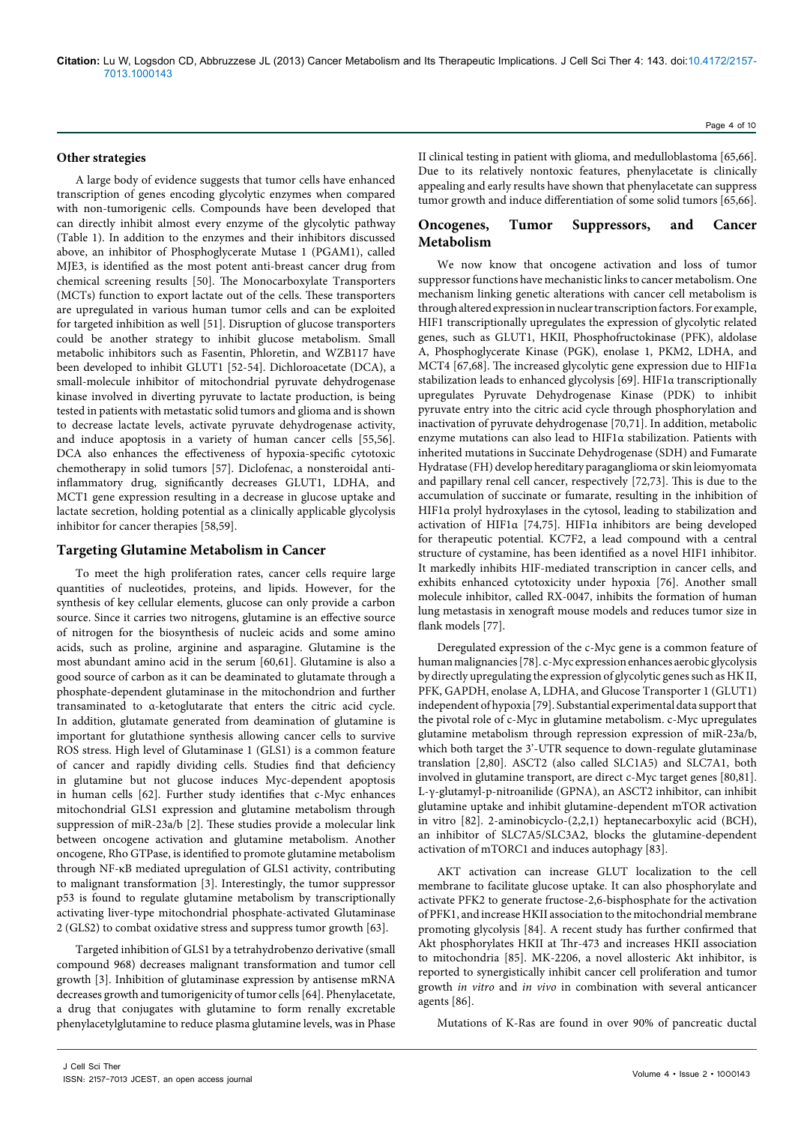#### **Other strategies**

A large body of evidence suggests that tumor cells have enhanced transcription of genes encoding glycolytic enzymes when compared with non-tumorigenic cells. Compounds have been developed that can directly inhibit almost every enzyme of the glycolytic pathway (Table 1). In addition to the enzymes and their inhibitors discussed above, an inhibitor of Phosphoglycerate Mutase 1 (PGAM1), called MJE3, is identified as the most potent anti-breast cancer drug from chemical screening results [50]. The Monocarboxylate Transporters (MCTs) function to export lactate out of the cells. These transporters are upregulated in various human tumor cells and can be exploited for targeted inhibition as well [51]. Disruption of glucose transporters could be another strategy to inhibit glucose metabolism. Small metabolic inhibitors such as Fasentin, Phloretin, and WZB117 have been developed to inhibit GLUT1 [52-54]. Dichloroacetate (DCA), a small-molecule inhibitor of mitochondrial pyruvate dehydrogenase kinase involved in diverting pyruvate to lactate production, is being tested in patients with metastatic solid tumors and glioma and is shown to decrease lactate levels, activate pyruvate dehydrogenase activity, and induce apoptosis in a variety of human cancer cells [55,56]. DCA also enhances the effectiveness of hypoxia-specific cytotoxic chemotherapy in solid tumors [57]. Diclofenac, a nonsteroidal antiinflammatory drug, significantly decreases GLUT1, LDHA, and MCT1 gene expression resulting in a decrease in glucose uptake and lactate secretion, holding potential as a clinically applicable glycolysis inhibitor for cancer therapies [58,59].

#### **Targeting Glutamine Metabolism in Cancer**

To meet the high proliferation rates, cancer cells require large quantities of nucleotides, proteins, and lipids. However, for the synthesis of key cellular elements, glucose can only provide a carbon source. Since it carries two nitrogens, glutamine is an effective source of nitrogen for the biosynthesis of nucleic acids and some amino acids, such as proline, arginine and asparagine. Glutamine is the most abundant amino acid in the serum [60,61]. Glutamine is also a good source of carbon as it can be deaminated to glutamate through a phosphate-dependent glutaminase in the mitochondrion and further transaminated to α-ketoglutarate that enters the citric acid cycle. In addition, glutamate generated from deamination of glutamine is important for glutathione synthesis allowing cancer cells to survive ROS stress. High level of Glutaminase 1 (GLS1) is a common feature of cancer and rapidly dividing cells. Studies find that deficiency in glutamine but not glucose induces Myc-dependent apoptosis in human cells [62]. Further study identifies that c-Myc enhances mitochondrial GLS1 expression and glutamine metabolism through suppression of miR-23a/b [2]. These studies provide a molecular link between oncogene activation and glutamine metabolism. Another oncogene, Rho GTPase, is identified to promote glutamine metabolism through NF-κB mediated upregulation of GLS1 activity, contributing to malignant transformation [3]. Interestingly, the tumor suppressor p53 is found to regulate glutamine metabolism by transcriptionally activating liver-type mitochondrial phosphate-activated Glutaminase 2 (GLS2) to combat oxidative stress and suppress tumor growth [63].

Targeted inhibition of GLS1 by a tetrahydrobenzo derivative (small compound 968) decreases malignant transformation and tumor cell growth [3]. Inhibition of glutaminase expression by antisense mRNA decreases growth and tumorigenicity of tumor cells [64]. Phenylacetate, a drug that conjugates with glutamine to form renally excretable phenylacetylglutamine to reduce plasma glutamine levels, was in Phase Page 4 of 10

II clinical testing in patient with glioma, and medulloblastoma [65,66]. Due to its relatively nontoxic features, phenylacetate is clinically appealing and early results have shown that phenylacetate can suppress tumor growth and induce differentiation of some solid tumors [65,66].

# **Oncogenes, Tumor Suppressors, and Cancer Metabolism**

We now know that oncogene activation and loss of tumor suppressor functions have mechanistic links to cancer metabolism. One mechanism linking genetic alterations with cancer cell metabolism is through altered expression in nuclear transcription factors. For example, HIF1 transcriptionally upregulates the expression of glycolytic related genes, such as GLUT1, HKII, Phosphofructokinase (PFK), aldolase A, Phosphoglycerate Kinase (PGK), enolase 1, PKM2, LDHA, and MCT4 [67,68]. The increased glycolytic gene expression due to HIF1α stabilization leads to enhanced glycolysis [69]. HIF1α transcriptionally upregulates Pyruvate Dehydrogenase Kinase (PDK) to inhibit pyruvate entry into the citric acid cycle through phosphorylation and inactivation of pyruvate dehydrogenase [70,71]. In addition, metabolic enzyme mutations can also lead to HIF1α stabilization. Patients with inherited mutations in Succinate Dehydrogenase (SDH) and Fumarate Hydratase (FH) develop hereditary paraganglioma or skin leiomyomata and papillary renal cell cancer, respectively [72,73]. This is due to the accumulation of succinate or fumarate, resulting in the inhibition of HIF1α prolyl hydroxylases in the cytosol, leading to stabilization and activation of HIF1α [74,75]. HIF1α inhibitors are being developed for therapeutic potential. KC7F2, a lead compound with a central structure of cystamine, has been identified as a novel HIF1 inhibitor. It markedly inhibits HIF-mediated transcription in cancer cells, and exhibits enhanced cytotoxicity under hypoxia [76]. Another small molecule inhibitor, called RX-0047, inhibits the formation of human lung metastasis in xenograft mouse models and reduces tumor size in flank models [77].

Deregulated expression of the c-Myc gene is a common feature of human malignancies [78]. c-Myc expression enhances aerobic glycolysis by directly upregulating the expression of glycolytic genes such as HK II, PFK, GAPDH, enolase A, LDHA, and Glucose Transporter 1 (GLUT1) independent of hypoxia [79]. Substantial experimental data support that the pivotal role of c-Myc in glutamine metabolism. c-Myc upregulates glutamine metabolism through repression expression of miR-23a/b, which both target the 3'-UTR sequence to down-regulate glutaminase translation [2,80]. ASCT2 (also called SLC1A5) and SLC7A1, both involved in glutamine transport, are direct c-Myc target genes [80,81]. L-γ-glutamyl-p-nitroanilide (GPNA), an ASCT2 inhibitor, can inhibit glutamine uptake and inhibit glutamine-dependent mTOR activation in vitro [82]. 2-aminobicyclo-(2,2,1) heptanecarboxylic acid (BCH), an inhibitor of SLC7A5/SLC3A2, blocks the glutamine-dependent activation of mTORC1 and induces autophagy [83].

AKT activation can increase GLUT localization to the cell membrane to facilitate glucose uptake. It can also phosphorylate and activate PFK2 to generate fructose-2,6-bisphosphate for the activation of PFK1, and increase HKII association to the mitochondrial membrane promoting glycolysis [84]. A recent study has further confirmed that Akt phosphorylates HKII at Thr-473 and increases HKII association to mitochondria [85]. MK-2206, a novel allosteric Akt inhibitor, is reported to synergistically inhibit cancer cell proliferation and tumor growth *in vitro* and *in vivo* in combination with several anticancer agents [86].

Mutations of K-Ras are found in over 90% of pancreatic ductal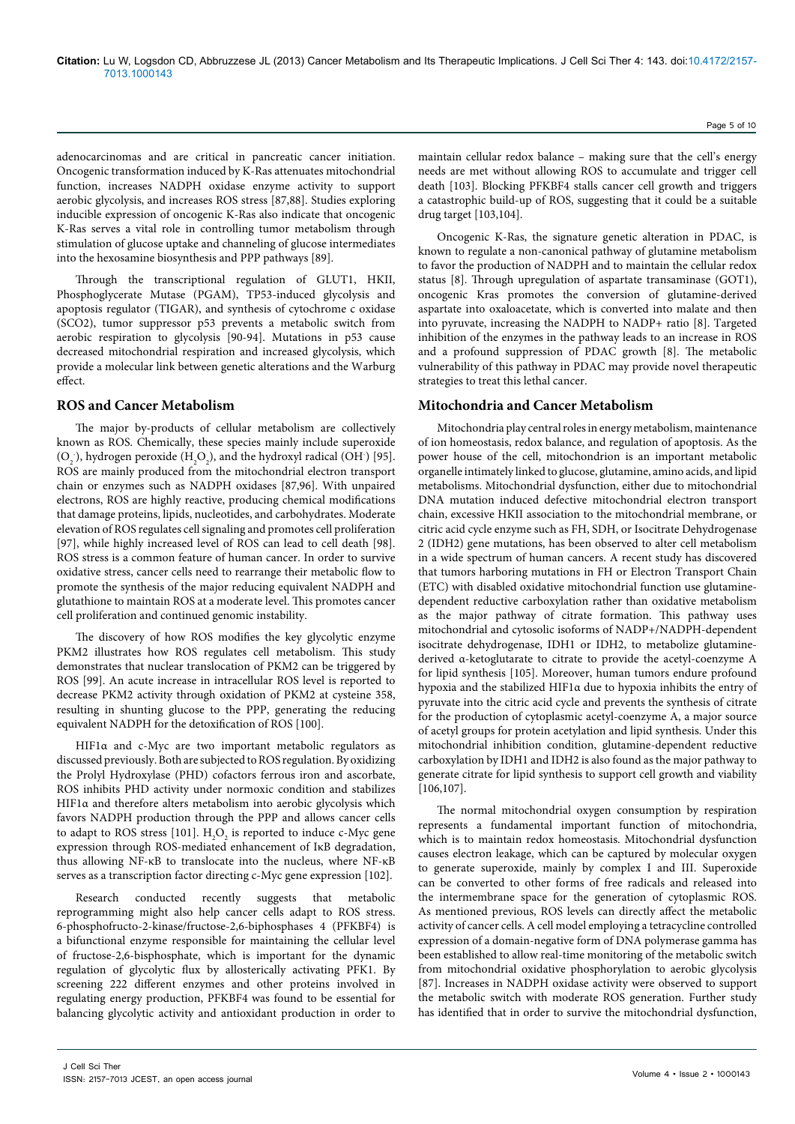adenocarcinomas and are critical in pancreatic cancer initiation. Oncogenic transformation induced by K-Ras attenuates mitochondrial function, increases NADPH oxidase enzyme activity to support aerobic glycolysis, and increases ROS stress [87,88]. Studies exploring inducible expression of oncogenic K-Ras also indicate that oncogenic K-Ras serves a vital role in controlling tumor metabolism through stimulation of glucose uptake and channeling of glucose intermediates into the hexosamine biosynthesis and PPP pathways [89].

Through the transcriptional regulation of GLUT1, HKII, Phosphoglycerate Mutase (PGAM), TP53-induced glycolysis and apoptosis regulator (TIGAR), and synthesis of cytochrome c oxidase (SCO2), tumor suppressor p53 prevents a metabolic switch from aerobic respiration to glycolysis [90-94]. Mutations in p53 cause decreased mitochondrial respiration and increased glycolysis, which provide a molecular link between genetic alterations and the Warburg effect.

## **ROS and Cancer Metabolism**

The major by-products of cellular metabolism are collectively known as ROS. Chemically, these species mainly include superoxide  $(O_2)$ , hydrogen peroxide  $(H_2O_2)$ , and the hydroxyl radical  $(OH^{\cdot})$  [95]. ROS are mainly produced from the mitochondrial electron transport chain or enzymes such as NADPH oxidases [87,96]. With unpaired electrons, ROS are highly reactive, producing chemical modifications that damage proteins, lipids, nucleotides, and carbohydrates. Moderate elevation of ROS regulates cell signaling and promotes cell proliferation [97], while highly increased level of ROS can lead to cell death [98]. ROS stress is a common feature of human cancer. In order to survive oxidative stress, cancer cells need to rearrange their metabolic flow to promote the synthesis of the major reducing equivalent NADPH and glutathione to maintain ROS at a moderate level. This promotes cancer cell proliferation and continued genomic instability.

The discovery of how ROS modifies the key glycolytic enzyme PKM2 illustrates how ROS regulates cell metabolism. This study demonstrates that nuclear translocation of PKM2 can be triggered by ROS [99]. An acute increase in intracellular ROS level is reported to decrease PKM2 activity through oxidation of PKM2 at cysteine 358, resulting in shunting glucose to the PPP, generating the reducing equivalent NADPH for the detoxification of ROS [100].

HIF1α and c-Myc are two important metabolic regulators as discussed previously. Both are subjected to ROS regulation. By oxidizing the Prolyl Hydroxylase (PHD) cofactors ferrous iron and ascorbate, ROS inhibits PHD activity under normoxic condition and stabilizes HIF1α and therefore alters metabolism into aerobic glycolysis which favors NADPH production through the PPP and allows cancer cells to adapt to ROS stress [101].  $\mathrm{H}_{2}\mathrm{O}_{2}$  is reported to induce c-Myc gene expression through ROS-mediated enhancement of IκB degradation, thus allowing NF-κB to translocate into the nucleus, where NF-κB serves as a transcription factor directing c-Myc gene expression [102].

Research conducted recently suggests that metabolic reprogramming might also help cancer cells adapt to ROS stress. 6-phosphofructo-2-kinase/fructose-2,6-biphosphases 4 (PFKBF4) is a bifunctional enzyme responsible for maintaining the cellular level of fructose-2,6-bisphosphate, which is important for the dynamic regulation of glycolytic flux by allosterically activating PFK1. By screening 222 different enzymes and other proteins involved in regulating energy production, PFKBF4 was found to be essential for balancing glycolytic activity and antioxidant production in order to

Page 5 of 10

maintain cellular redox balance – making sure that the cell's energy needs are met without allowing ROS to accumulate and trigger cell death [103]. Blocking PFKBF4 stalls cancer cell growth and triggers a catastrophic build-up of ROS, suggesting that it could be a suitable drug target [103,104].

Oncogenic K-Ras, the signature genetic alteration in PDAC, is known to regulate a non-canonical pathway of glutamine metabolism to favor the production of NADPH and to maintain the cellular redox status [8]. Through upregulation of aspartate transaminase (GOT1), oncogenic Kras promotes the conversion of glutamine-derived aspartate into oxaloacetate, which is converted into malate and then into pyruvate, increasing the NADPH to NADP+ ratio [8]. Targeted inhibition of the enzymes in the pathway leads to an increase in ROS and a profound suppression of PDAC growth [8]. The metabolic vulnerability of this pathway in PDAC may provide novel therapeutic strategies to treat this lethal cancer.

# **Mitochondria and Cancer Metabolism**

Mitochondria play central roles in energy metabolism, maintenance of ion homeostasis, redox balance, and regulation of apoptosis. As the power house of the cell, mitochondrion is an important metabolic organelle intimately linked to glucose, glutamine, amino acids, and lipid metabolisms. Mitochondrial dysfunction, either due to mitochondrial DNA mutation induced defective mitochondrial electron transport chain, excessive HKII association to the mitochondrial membrane, or citric acid cycle enzyme such as FH, SDH, or Isocitrate Dehydrogenase 2 (IDH2) gene mutations, has been observed to alter cell metabolism in a wide spectrum of human cancers. A recent study has discovered that tumors harboring mutations in FH or Electron Transport Chain (ETC) with disabled oxidative mitochondrial function use glutaminedependent reductive carboxylation rather than oxidative metabolism as the major pathway of citrate formation. This pathway uses mitochondrial and cytosolic isoforms of NADP+/NADPH-dependent isocitrate dehydrogenase, IDH1 or IDH2, to metabolize glutaminederived α-ketoglutarate to citrate to provide the acetyl-coenzyme A for lipid synthesis [105]. Moreover, human tumors endure profound hypoxia and the stabilized HIF1α due to hypoxia inhibits the entry of pyruvate into the citric acid cycle and prevents the synthesis of citrate for the production of cytoplasmic acetyl-coenzyme A, a major source of acetyl groups for protein acetylation and lipid synthesis. Under this mitochondrial inhibition condition, glutamine-dependent reductive carboxylation by IDH1 and IDH2 is also found as the major pathway to generate citrate for lipid synthesis to support cell growth and viability [106,107].

The normal mitochondrial oxygen consumption by respiration represents a fundamental important function of mitochondria, which is to maintain redox homeostasis. Mitochondrial dysfunction causes electron leakage, which can be captured by molecular oxygen to generate superoxide, mainly by complex I and III. Superoxide can be converted to other forms of free radicals and released into the intermembrane space for the generation of cytoplasmic ROS. As mentioned previous, ROS levels can directly affect the metabolic activity of cancer cells. A cell model employing a tetracycline controlled expression of a domain-negative form of DNA polymerase gamma has been established to allow real-time monitoring of the metabolic switch from mitochondrial oxidative phosphorylation to aerobic glycolysis [87]. Increases in NADPH oxidase activity were observed to support the metabolic switch with moderate ROS generation. Further study has identified that in order to survive the mitochondrial dysfunction,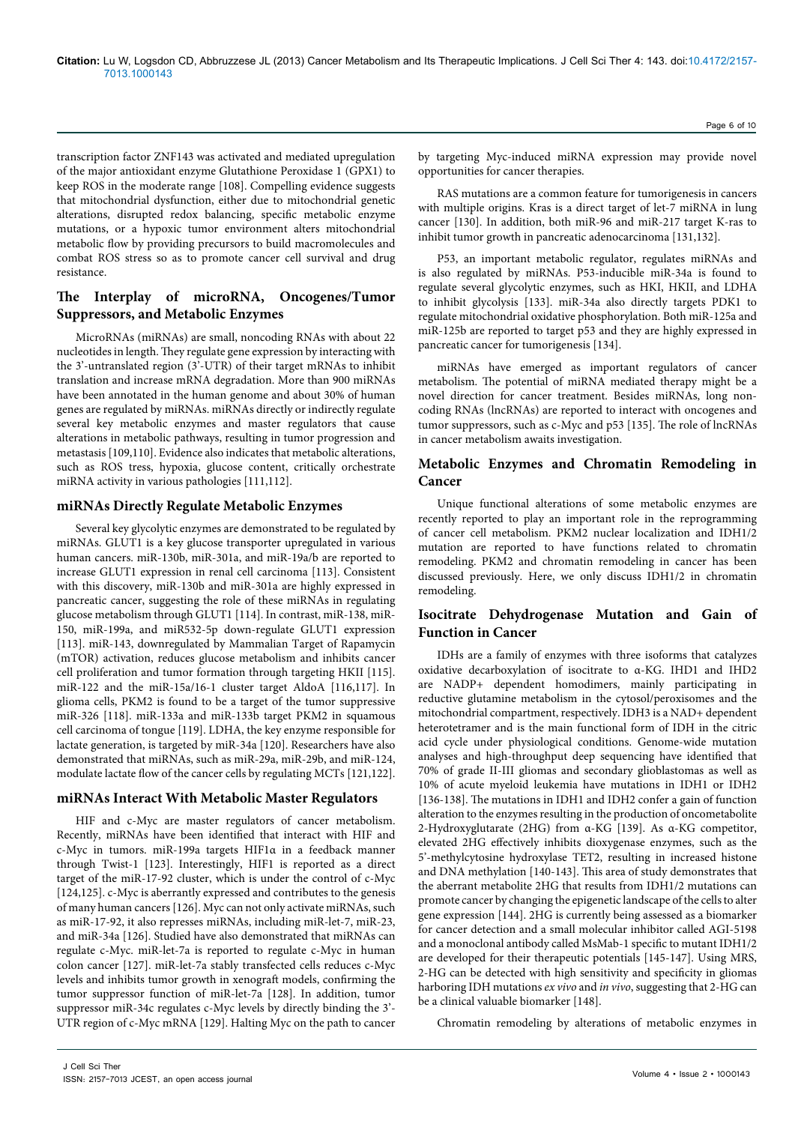transcription factor ZNF143 was activated and mediated upregulation of the major antioxidant enzyme Glutathione Peroxidase 1 (GPX1) to keep ROS in the moderate range [108]. Compelling evidence suggests that mitochondrial dysfunction, either due to mitochondrial genetic alterations, disrupted redox balancing, specific metabolic enzyme mutations, or a hypoxic tumor environment alters mitochondrial metabolic flow by providing precursors to build macromolecules and combat ROS stress so as to promote cancer cell survival and drug resistance.

# **The Interplay of microRNA, Oncogenes/Tumor Suppressors, and Metabolic Enzymes**

MicroRNAs (miRNAs) are small, noncoding RNAs with about 22 nucleotides in length. They regulate gene expression by interacting with the 3'-untranslated region (3'-UTR) of their target mRNAs to inhibit translation and increase mRNA degradation. More than 900 miRNAs have been annotated in the human genome and about 30% of human genes are regulated by miRNAs. miRNAs directly or indirectly regulate several key metabolic enzymes and master regulators that cause alterations in metabolic pathways, resulting in tumor progression and metastasis [109,110]. Evidence also indicates that metabolic alterations, such as ROS tress, hypoxia, glucose content, critically orchestrate miRNA activity in various pathologies [111,112].

# **miRNAs Directly Regulate Metabolic Enzymes**

Several key glycolytic enzymes are demonstrated to be regulated by miRNAs. GLUT1 is a key glucose transporter upregulated in various human cancers. miR-130b, miR-301a, and miR-19a/b are reported to increase GLUT1 expression in renal cell carcinoma [113]. Consistent with this discovery, miR-130b and miR-301a are highly expressed in pancreatic cancer, suggesting the role of these miRNAs in regulating glucose metabolism through GLUT1 [114]. In contrast, miR-138, miR-150, miR-199a, and miR532-5p down-regulate GLUT1 expression [113]. miR-143, downregulated by Mammalian Target of Rapamycin (mTOR) activation, reduces glucose metabolism and inhibits cancer cell proliferation and tumor formation through targeting HKII [115]. miR-122 and the miR-15a/16-1 cluster target AldoA [116,117]. In glioma cells, PKM2 is found to be a target of the tumor suppressive miR-326 [118]. miR-133a and miR-133b target PKM2 in squamous cell carcinoma of tongue [119]. LDHA, the key enzyme responsible for lactate generation, is targeted by miR-34a [120]. Researchers have also demonstrated that miRNAs, such as miR-29a, miR-29b, and miR-124, modulate lactate flow of the cancer cells by regulating MCTs [121,122].

#### **miRNAs Interact With Metabolic Master Regulators**

HIF and c-Myc are master regulators of cancer metabolism. Recently, miRNAs have been identified that interact with HIF and c-Myc in tumors. miR-199a targets HIF1α in a feedback manner through Twist-1 [123]. Interestingly, HIF1 is reported as a direct target of the miR-17-92 cluster, which is under the control of c-Myc [124,125]. c-Myc is aberrantly expressed and contributes to the genesis of many human cancers [126]. Myc can not only activate miRNAs, such as miR-17-92, it also represses miRNAs, including miR-let-7, miR-23, and miR-34a [126]. Studied have also demonstrated that miRNAs can regulate c-Myc. miR-let-7a is reported to regulate c-Myc in human colon cancer [127]. miR-let-7a stably transfected cells reduces c-Myc levels and inhibits tumor growth in xenograft models, confirming the tumor suppressor function of miR-let-7a [128]. In addition, tumor suppressor miR-34c regulates c-Myc levels by directly binding the 3'- UTR region of c-Myc mRNA [129]. Halting Myc on the path to cancer Page 6 of 10

by targeting Myc-induced miRNA expression may provide novel opportunities for cancer therapies.

RAS mutations are a common feature for tumorigenesis in cancers with multiple origins. Kras is a direct target of let-7 miRNA in lung cancer [130]. In addition, both miR-96 and miR-217 target K-ras to inhibit tumor growth in pancreatic adenocarcinoma [131,132].

P53, an important metabolic regulator, regulates miRNAs and is also regulated by miRNAs. P53-inducible miR-34a is found to regulate several glycolytic enzymes, such as HKI, HKII, and LDHA to inhibit glycolysis [133]. miR-34a also directly targets PDK1 to regulate mitochondrial oxidative phosphorylation. Both miR-125a and miR-125b are reported to target p53 and they are highly expressed in pancreatic cancer for tumorigenesis [134].

miRNAs have emerged as important regulators of cancer metabolism. The potential of miRNA mediated therapy might be a novel direction for cancer treatment. Besides miRNAs, long noncoding RNAs (lncRNAs) are reported to interact with oncogenes and tumor suppressors, such as c-Myc and p53 [135]. The role of lncRNAs in cancer metabolism awaits investigation.

# **Metabolic Enzymes and Chromatin Remodeling in Cancer**

Unique functional alterations of some metabolic enzymes are recently reported to play an important role in the reprogramming of cancer cell metabolism. PKM2 nuclear localization and IDH1/2 mutation are reported to have functions related to chromatin remodeling. PKM2 and chromatin remodeling in cancer has been discussed previously. Here, we only discuss IDH1/2 in chromatin remodeling.

# **Isocitrate Dehydrogenase Mutation and Gain of Function in Cancer**

IDHs are a family of enzymes with three isoforms that catalyzes oxidative decarboxylation of isocitrate to α-KG. IHD1 and IHD2 are NADP+ dependent homodimers, mainly participating in reductive glutamine metabolism in the cytosol/peroxisomes and the mitochondrial compartment, respectively. IDH3 is a NAD+ dependent heterotetramer and is the main functional form of IDH in the citric acid cycle under physiological conditions. Genome-wide mutation analyses and high-throughput deep sequencing have identified that 70% of grade II-III gliomas and secondary glioblastomas as well as 10% of acute myeloid leukemia have mutations in IDH1 or IDH2 [136-138]. The mutations in IDH1 and IDH2 confer a gain of function alteration to the enzymes resulting in the production of oncometabolite 2-Hydroxyglutarate (2HG) from α-KG [139]. As α-KG competitor, elevated 2HG effectively inhibits dioxygenase enzymes, such as the 5'-methylcytosine hydroxylase TET2, resulting in increased histone and DNA methylation [140-143]. This area of study demonstrates that the aberrant metabolite 2HG that results from IDH1/2 mutations can promote cancer by changing the epigenetic landscape of the cells to alter gene expression [144]. 2HG is currently being assessed as a biomarker for cancer detection and a small molecular inhibitor called AGI-5198 and a monoclonal antibody called MsMab-1 specific to mutant IDH1/2 are developed for their therapeutic potentials [145-147]. Using MRS, 2-HG can be detected with high sensitivity and specificity in gliomas harboring IDH mutations *ex vivo* and *in vivo*, suggesting that 2-HG can be a clinical valuable biomarker [148].

Chromatin remodeling by alterations of metabolic enzymes in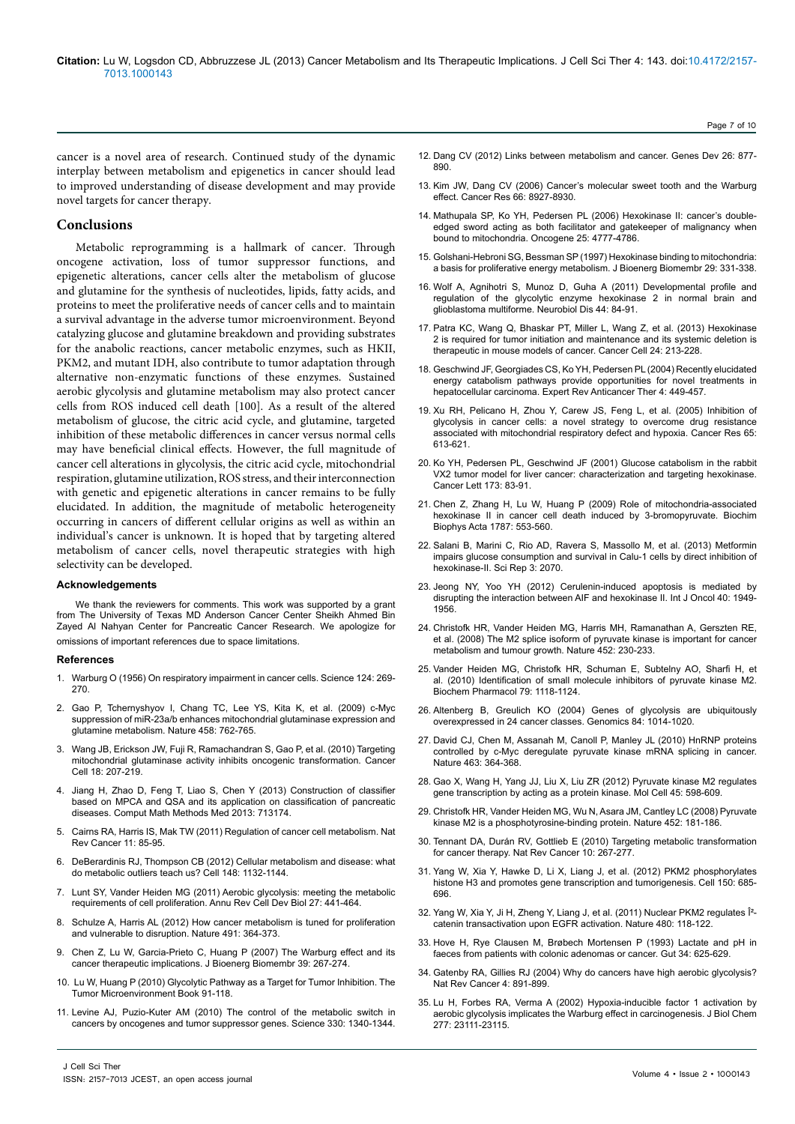cancer is a novel area of research. Continued study of the dynamic interplay between metabolism and epigenetics in cancer should lead to improved understanding of disease development and may provide novel targets for cancer therapy.

## **Conclusions**

Metabolic reprogramming is a hallmark of cancer. Through oncogene activation, loss of tumor suppressor functions, and epigenetic alterations, cancer cells alter the metabolism of glucose and glutamine for the synthesis of nucleotides, lipids, fatty acids, and proteins to meet the proliferative needs of cancer cells and to maintain a survival advantage in the adverse tumor microenvironment. Beyond catalyzing glucose and glutamine breakdown and providing substrates for the anabolic reactions, cancer metabolic enzymes, such as HKII, PKM2, and mutant IDH, also contribute to tumor adaptation through alternative non-enzymatic functions of these enzymes. Sustained aerobic glycolysis and glutamine metabolism may also protect cancer cells from ROS induced cell death [100]. As a result of the altered metabolism of glucose, the citric acid cycle, and glutamine, targeted inhibition of these metabolic differences in cancer versus normal cells may have beneficial clinical effects. However, the full magnitude of cancer cell alterations in glycolysis, the citric acid cycle, mitochondrial respiration, glutamine utilization, ROS stress, and their interconnection with genetic and epigenetic alterations in cancer remains to be fully elucidated. In addition, the magnitude of metabolic heterogeneity occurring in cancers of different cellular origins as well as within an individual's cancer is unknown. It is hoped that by targeting altered metabolism of cancer cells, novel therapeutic strategies with high selectivity can be developed.

#### **Acknowledgements**

We thank the reviewers for comments. This work was supported by a grant from The University of Texas MD Anderson Cancer Center Sheikh Ahmed Bin Zayed Al Nahyan Center for Pancreatic Cancer Research. We apologize for omissions of important references due to space limitations.

#### **References**

- 1. [Warburg O \(1956\) On respiratory impairment in cancer cells. Science 124: 269-](http://www.ncbi.nlm.nih.gov/pubmed/13351639) [270.](http://www.ncbi.nlm.nih.gov/pubmed/13351639)
- 2. [Gao P, Tchernyshyov I, Chang TC, Lee YS, Kita K, et al. \(2009\) c-Myc](http://www.ncbi.nlm.nih.gov/pubmed/19219026) [suppression of miR-23a/b enhances mitochondrial glutaminase expression and](http://www.ncbi.nlm.nih.gov/pubmed/19219026) [glutamine metabolism. Nature 458: 762-765.](http://www.ncbi.nlm.nih.gov/pubmed/19219026)
- 3. [Wang JB, Erickson JW, Fuji R, Ramachandran S, Gao P, et al. \(2010\) Targeting](http://www.ncbi.nlm.nih.gov/pubmed/20832749) [mitochondrial glutaminase activity inhibits oncogenic transformation. Cancer](http://www.ncbi.nlm.nih.gov/pubmed/20832749) [Cell 18: 207-219.](http://www.ncbi.nlm.nih.gov/pubmed/20832749)
- 4. [Jiang H, Zhao D, Feng T, Liao S, Chen Y \(2013\) Construction of classifier](http://www.ncbi.nlm.nih.gov/pubmed/23762196) [based on MPCA and QSA and its application on classification of pancreatic](http://www.ncbi.nlm.nih.gov/pubmed/23762196) [diseases. Comput Math Methods Med 2013: 713174.](http://www.ncbi.nlm.nih.gov/pubmed/23762196)
- 5. [Cairns RA, Harris IS, Mak TW \(2011\) Regulation of cancer cell metabolism. Nat](http://www.ncbi.nlm.nih.gov/pubmed/21258394) [Rev Cancer 11: 85-95.](http://www.ncbi.nlm.nih.gov/pubmed/21258394)
- 6. [DeBerardinis RJ, Thompson CB \(2012\) Cellular metabolism and disease: what](http://www.ncbi.nlm.nih.gov/pubmed/22424225) [do metabolic outliers teach us? Cell 148: 1132-1144.](http://www.ncbi.nlm.nih.gov/pubmed/22424225)
- 7. [Lunt SY, Vander Heiden MG \(2011\) Aerobic glycolysis: meeting the metabolic](http://www.ncbi.nlm.nih.gov/pubmed/21985671) [requirements of cell proliferation. Annu Rev Cell Dev Biol 27: 441-464.](http://www.ncbi.nlm.nih.gov/pubmed/21985671)
- 8. [Schulze A, Harris AL \(2012\) How cancer metabolism is tuned for proliferation](http://www.ncbi.nlm.nih.gov/pubmed/23151579) [and vulnerable to disruption. Nature 491: 364-373.](http://www.ncbi.nlm.nih.gov/pubmed/23151579)
- 9. [Chen Z, Lu W, Garcia-Prieto C, Huang P \(2007\) The Warburg effect and its](http://www.ncbi.nlm.nih.gov/pubmed/17551814) [cancer therapeutic implications. J Bioenerg Biomembr 39: 267-274.](http://www.ncbi.nlm.nih.gov/pubmed/17551814)
- 10. [Lu W, Huang P \(2010\) Glycolytic Pathway as a Target for Tumor Inhibition. The](http://link.springer.com/chapter/10.1007%2F978-1-4419-6615-5_5) [Tumor Microenvironment Book 91-118.](http://link.springer.com/chapter/10.1007%2F978-1-4419-6615-5_5)
- 11. [Levine AJ, Puzio-Kuter AM \(2010\) The control of the metabolic switch in](http://www.ncbi.nlm.nih.gov/pubmed/21127244) [cancers by oncogenes and tumor suppressor genes. Science 330: 1340-1344.](http://www.ncbi.nlm.nih.gov/pubmed/21127244)
	-
	- J Cell Sci Ther ISSN: 2157-7013 JCEST, an open access journal

12. [Dang CV \(2012\) Links between metabolism and cancer. Genes Dev 26: 877-](http://www.ncbi.nlm.nih.gov/pubmed/22549953) [890.](http://www.ncbi.nlm.nih.gov/pubmed/22549953)

Page 7 of 10

- 13. [Kim JW, Dang CV \(2006\) Cancer's molecular sweet tooth and the Warburg](http://www.ncbi.nlm.nih.gov/pubmed/16982728)  [effect. Cancer Res 66: 8927-8930.](http://www.ncbi.nlm.nih.gov/pubmed/16982728)
- 14. [Mathupala SP, Ko YH, Pedersen PL \(2006\) Hexokinase II: cancer's double](http://www.ncbi.nlm.nih.gov/pubmed/16892090)[edged sword acting as both facilitator and gatekeeper of malignancy when](http://www.ncbi.nlm.nih.gov/pubmed/16892090)  [bound to mitochondria. Oncogene 25: 4777-4786.](http://www.ncbi.nlm.nih.gov/pubmed/16892090)
- 15. [Golshani-Hebroni SG, Bessman SP \(1997\) Hexokinase binding to mitochondria:](http://www.ncbi.nlm.nih.gov/pubmed/9387093)  [a basis for proliferative energy metabolism. J Bioenerg Biomembr 29: 331-338.](http://www.ncbi.nlm.nih.gov/pubmed/9387093)
- 16. [Wolf A, Agnihotri S, Munoz D, Guha A \(2011\) Developmental profile and](http://www.ncbi.nlm.nih.gov/pubmed/21726646)  [regulation of the glycolytic enzyme hexokinase 2 in normal brain and](http://www.ncbi.nlm.nih.gov/pubmed/21726646)  [glioblastoma multiforme. Neurobiol Dis 44: 84-91.](http://www.ncbi.nlm.nih.gov/pubmed/21726646)
- 17. [Patra KC, Wang Q, Bhaskar PT, Miller L, Wang Z, et al. \(2013\) Hexokinase](http://www.ncbi.nlm.nih.gov/pubmed/23911236)  [2 is required for tumor initiation and maintenance and its systemic deletion is](http://www.ncbi.nlm.nih.gov/pubmed/23911236)  [therapeutic in mouse models of cancer. Cancer Cell 24: 213-228.](http://www.ncbi.nlm.nih.gov/pubmed/23911236)
- 18. [Geschwind JF, Georgiades CS, Ko YH, Pedersen PL \(2004\) Recently elucidated](http://www.ncbi.nlm.nih.gov/pubmed/15161443)  [energy catabolism pathways provide opportunities for novel treatments in](http://www.ncbi.nlm.nih.gov/pubmed/15161443)  [hepatocellular carcinoma. Expert Rev Anticancer Ther 4: 449-457.](http://www.ncbi.nlm.nih.gov/pubmed/15161443)
- 19. [Xu RH, Pelicano H, Zhou Y, Carew JS, Feng L, et al. \(2005\) Inhibition of](http://www.ncbi.nlm.nih.gov/pubmed/15695406)  [glycolysis in cancer cells: a novel strategy to overcome drug resistance](http://www.ncbi.nlm.nih.gov/pubmed/15695406)  [associated with mitochondrial respiratory defect and hypoxia. Cancer Res 65:](http://www.ncbi.nlm.nih.gov/pubmed/15695406)  [613-621.](http://www.ncbi.nlm.nih.gov/pubmed/15695406)
- 20. [Ko YH, Pedersen PL, Geschwind JF \(2001\) Glucose catabolism in the rabbit](http://www.ncbi.nlm.nih.gov/pubmed/11578813)  [VX2 tumor model for liver cancer: characterization and targeting hexokinase.](http://www.ncbi.nlm.nih.gov/pubmed/11578813)  [Cancer Lett 173: 83-91.](http://www.ncbi.nlm.nih.gov/pubmed/11578813)
- 21. [Chen Z, Zhang H, Lu W, Huang P \(2009\) Role of mitochondria-associated](http://www.ncbi.nlm.nih.gov/pubmed/19285479)  [hexokinase II in cancer cell death induced by 3-bromopyruvate. Biochim](http://www.ncbi.nlm.nih.gov/pubmed/19285479)  [Biophys Acta 1787: 553-560.](http://www.ncbi.nlm.nih.gov/pubmed/19285479)
- 22. [Salani B, Marini C, Rio AD, Ravera S, Massollo M, et al. \(2013\) Metformin](http://www.ncbi.nlm.nih.gov/pubmed/23797762)  [impairs glucose consumption and survival in Calu-1 cells by direct inhibition of](http://www.ncbi.nlm.nih.gov/pubmed/23797762)  [hexokinase-II. Sci Rep 3: 2070.](http://www.ncbi.nlm.nih.gov/pubmed/23797762)
- 23. [Jeong NY, Yoo YH \(2012\) Cerulenin-induced apoptosis is mediated by](http://www.ncbi.nlm.nih.gov/pubmed/22426850)  [disrupting the interaction between AIF and hexokinase II. Int J Oncol 40: 1949-](http://www.ncbi.nlm.nih.gov/pubmed/22426850) [1956.](http://www.ncbi.nlm.nih.gov/pubmed/22426850)
- 24. [Christofk HR, Vander Heiden MG, Harris MH, Ramanathan A, Gerszten RE,](http://www.ncbi.nlm.nih.gov/pubmed/18337823)  [et al. \(2008\) The M2 splice isoform of pyruvate kinase is important for cancer](http://www.ncbi.nlm.nih.gov/pubmed/18337823)  [metabolism and tumour growth. Nature 452: 230-233.](http://www.ncbi.nlm.nih.gov/pubmed/18337823)
- 25. [Vander Heiden MG, Christofk HR, Schuman E, Subtelny AO, Sharfi H, et](http://www.ncbi.nlm.nih.gov/pubmed/20005212)  [al. \(2010\) Identification of small molecule inhibitors of pyruvate kinase M2.](http://www.ncbi.nlm.nih.gov/pubmed/20005212)  [Biochem Pharmacol 79: 1118-1124.](http://www.ncbi.nlm.nih.gov/pubmed/20005212)
- 26. [Altenberg B, Greulich KO \(2004\) Genes of glycolysis are ubiquitously](http://www.ncbi.nlm.nih.gov/pubmed/15533718)  [overexpressed in 24 cancer classes. Genomics 84: 1014-1020.](http://www.ncbi.nlm.nih.gov/pubmed/15533718)
- 27. [David CJ, Chen M, Assanah M, Canoll P, Manley JL \(2010\) HnRNP proteins](http://www.ncbi.nlm.nih.gov/pubmed/20010808)  [controlled by c-Myc deregulate pyruvate kinase mRNA splicing in cancer.](http://www.ncbi.nlm.nih.gov/pubmed/20010808)  [Nature 463: 364-368.](http://www.ncbi.nlm.nih.gov/pubmed/20010808)
- 28. [Gao X, Wang H, Yang JJ, Liu X, Liu ZR \(2012\) Pyruvate kinase M2 regulates](http://www.ncbi.nlm.nih.gov/pubmed/22306293)  [gene transcription by acting as a protein kinase. Mol Cell 45: 598-609.](http://www.ncbi.nlm.nih.gov/pubmed/22306293)
- 29. [Christofk HR, Vander Heiden MG, Wu N, Asara JM, Cantley LC \(2008\) Pyruvate](http://www.ncbi.nlm.nih.gov/pubmed/18337815)  [kinase M2 is a phosphotyrosine-binding protein. Nature 452: 181-186.](http://www.ncbi.nlm.nih.gov/pubmed/18337815)
- 30. [Tennant DA, Durán RV, Gottlieb E \(2010\) Targeting metabolic transformation](http://www.ncbi.nlm.nih.gov/pubmed/20300106)  [for cancer therapy. Nat Rev Cancer 10: 267-277.](http://www.ncbi.nlm.nih.gov/pubmed/20300106)
- 31. [Yang W, Xia Y, Hawke D, Li X, Liang J, et al. \(2012\) PKM2 phosphorylates](http://www.ncbi.nlm.nih.gov/pubmed/22901803)  [histone H3 and promotes gene transcription and tumorigenesis. Cell 150: 685-](http://www.ncbi.nlm.nih.gov/pubmed/22901803) [696.](http://www.ncbi.nlm.nih.gov/pubmed/22901803)
- 32. Yang W, Xia Y, Ji H, Zheng Y, Liang J, et al. (2011) Nuclear PKM2 regulates Î<sup>2</sup>[catenin transactivation upon EGFR activation. Nature 480: 118-122.](http://www.ncbi.nlm.nih.gov/pubmed/22056988)
- 33. [Hove H, Rye Clausen M, Brøbech Mortensen P \(1993\) Lactate and pH in](http://www.ncbi.nlm.nih.gov/pubmed/8389310)  [faeces from patients with colonic adenomas or cancer. Gut 34: 625-629.](http://www.ncbi.nlm.nih.gov/pubmed/8389310)
- 34. [Gatenby RA, Gillies RJ \(2004\) Why do cancers have high aerobic glycolysis?](http://www.ncbi.nlm.nih.gov/pubmed/15516961)  [Nat Rev Cancer 4: 891-899.](http://www.ncbi.nlm.nih.gov/pubmed/15516961)
- 35. [Lu H, Forbes RA, Verma A \(2002\) Hypoxia-inducible factor 1 activation by](http://www.ncbi.nlm.nih.gov/pubmed/11943784)  [aerobic glycolysis implicates the Warburg effect in carcinogenesis. J Biol Chem](http://www.ncbi.nlm.nih.gov/pubmed/11943784)  [277: 23111-23115.](http://www.ncbi.nlm.nih.gov/pubmed/11943784)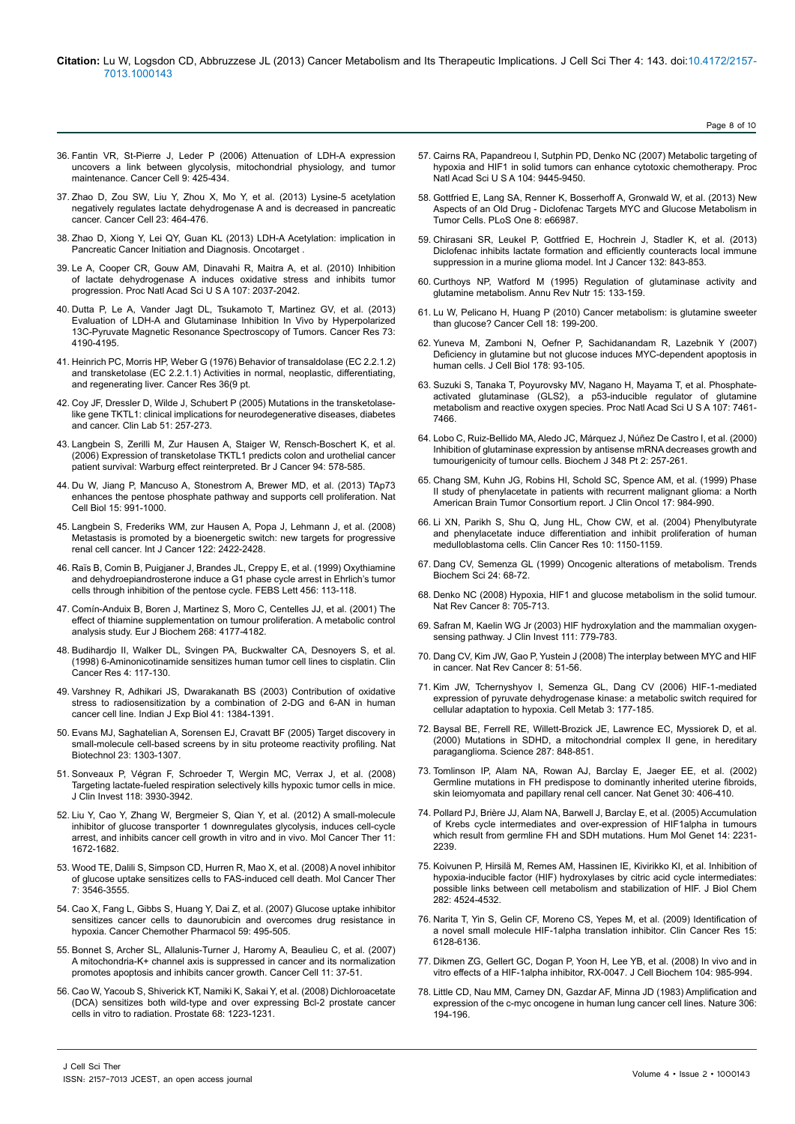- 36. [Fantin VR, St-Pierre J, Leder P \(2006\) Attenuation of LDH-A expression](http://www.ncbi.nlm.nih.gov/pubmed/16766262) [uncovers a link between glycolysis, mitochondrial physiology, and tumor](http://www.ncbi.nlm.nih.gov/pubmed/16766262) [maintenance. Cancer Cell 9: 425-434.](http://www.ncbi.nlm.nih.gov/pubmed/16766262)
- 37. [Zhao D, Zou SW, Liu Y, Zhou X, Mo Y, et al. \(2013\) Lysine-5 acetylation](http://www.ncbi.nlm.nih.gov/pubmed/23523103) [negatively regulates lactate dehydrogenase A and is decreased in pancreatic](http://www.ncbi.nlm.nih.gov/pubmed/23523103) [cancer. Cancer Cell 23: 464-476.](http://www.ncbi.nlm.nih.gov/pubmed/23523103)
- 38. [Zhao D, Xiong Y, Lei QY, Guan KL \(2013\) LDH-A Acetylation: implication in](http://www.ncbi.nlm.nih.gov/pubmed/23633471) Pancreatic Cancer Initiation and Diagnosis. Oncotarget
- 39. [Le A, Cooper CR, Gouw AM, Dinavahi R, Maitra A, et al. \(2010\) Inhibition](http://www.ncbi.nlm.nih.gov/pubmed/20133848) [of lactate dehydrogenase A induces oxidative stress and inhibits tumor](http://www.ncbi.nlm.nih.gov/pubmed/20133848) [progression. Proc Natl Acad Sci U S A 107: 2037-2042.](http://www.ncbi.nlm.nih.gov/pubmed/20133848)
- 40. [Dutta P, Le A, Vander Jagt DL, Tsukamoto T, Martinez GV, et al. \(2013\)](http://www.ncbi.nlm.nih.gov/pubmed/23722553) [Evaluation of LDH-A and Glutaminase Inhibition In Vivo by Hyperpolarized](http://www.ncbi.nlm.nih.gov/pubmed/23722553) [13C-Pyruvate Magnetic Resonance Spectroscopy of Tumors. Cancer Res 73:](http://www.ncbi.nlm.nih.gov/pubmed/23722553) [4190-4195.](http://www.ncbi.nlm.nih.gov/pubmed/23722553)
- 41. [Heinrich PC, Morris HP, Weber G \(1976\) Behavior of transaldolase \(EC 2.2.1.2\)](http://www.ncbi.nlm.nih.gov/pubmed/10080) [and transketolase \(EC 2.2.1.1\) Activities in normal, neoplastic, differentiating,](http://www.ncbi.nlm.nih.gov/pubmed/10080) [and regenerating liver. Cancer Res 36\(9 pt.](http://www.ncbi.nlm.nih.gov/pubmed/10080)
- 42. [Coy JF, Dressler D, Wilde J, Schubert P \(2005\) Mutations in the transketolase](http://www.ncbi.nlm.nih.gov/pubmed/15991799)[like gene TKTL1: clinical implications for neurodegenerative diseases, diabetes](http://www.ncbi.nlm.nih.gov/pubmed/15991799) [and cancer. Clin Lab 51: 257-273.](http://www.ncbi.nlm.nih.gov/pubmed/15991799)
- 43. [Langbein S, Zerilli M, Zur Hausen A, Staiger W, Rensch-Boschert K, et al.](http://www.ncbi.nlm.nih.gov/pubmed/16465194) [\(2006\) Expression of transketolase TKTL1 predicts colon and urothelial cancer](http://www.ncbi.nlm.nih.gov/pubmed/16465194) [patient survival: Warburg effect reinterpreted. Br J Cancer 94: 578-585.](http://www.ncbi.nlm.nih.gov/pubmed/16465194)
- 44. [Du W, Jiang P, Mancuso A, Stonestrom A, Brewer MD, et al. \(2013\) TAp73](http://www.ncbi.nlm.nih.gov/pubmed/23811687) [enhances the pentose phosphate pathway and supports cell proliferation. Nat](http://www.ncbi.nlm.nih.gov/pubmed/23811687) [Cell Biol 15: 991-1000.](http://www.ncbi.nlm.nih.gov/pubmed/23811687)
- 45. [Langbein S, Frederiks WM, zur Hausen A, Popa J, Lehmann J, et al. \(2008\)](http://www.ncbi.nlm.nih.gov/pubmed/18302154) [Metastasis is promoted by a bioenergetic switch: new targets for progressive](http://www.ncbi.nlm.nih.gov/pubmed/18302154) [renal cell cancer. Int J Cancer 122: 2422-2428.](http://www.ncbi.nlm.nih.gov/pubmed/18302154)
- 46. [Raïs B, Comin B, Puigjaner J, Brandes JL, Creppy E, et al. \(1999\) Oxythiamine](http://www.ncbi.nlm.nih.gov/pubmed/10452541) [and dehydroepiandrosterone induce a G1 phase cycle arrest in Ehrlich's tumor](http://www.ncbi.nlm.nih.gov/pubmed/10452541) [cells through inhibition of the pentose cycle. FEBS Lett 456: 113-118.](http://www.ncbi.nlm.nih.gov/pubmed/10452541)
- 47. [Comín-Anduix B, Boren J, Martinez S, Moro C, Centelles JJ, et al. \(2001\) The](http://www.ncbi.nlm.nih.gov/pubmed/11488910) [effect of thiamine supplementation on tumour proliferation. A metabolic control](http://www.ncbi.nlm.nih.gov/pubmed/11488910) [analysis study. Eur J Biochem 268: 4177-4182.](http://www.ncbi.nlm.nih.gov/pubmed/11488910)
- 48. [Budihardjo II, Walker DL, Svingen PA, Buckwalter CA, Desnoyers S, et al.](http://www.ncbi.nlm.nih.gov/pubmed/9516960) [\(1998\) 6-Aminonicotinamide sensitizes human tumor cell lines to cisplatin. Clin](http://www.ncbi.nlm.nih.gov/pubmed/9516960) [Cancer Res 4: 117-130.](http://www.ncbi.nlm.nih.gov/pubmed/9516960)
- 49. [Varshney R, Adhikari JS, Dwarakanath BS \(2003\) Contribution of oxidative](http://www.ncbi.nlm.nih.gov/pubmed/15320490) [stress to radiosensitization by a combination of 2-DG and 6-AN in human](http://www.ncbi.nlm.nih.gov/pubmed/15320490) [cancer cell line. Indian J Exp Biol 41: 1384-1391.](http://www.ncbi.nlm.nih.gov/pubmed/15320490)
- 50. [Evans MJ, Saghatelian A, Sorensen EJ, Cravatt BF \(2005\) Target discovery in](http://www.ncbi.nlm.nih.gov/pubmed/16200062) [small-molecule cell-based screens by in situ proteome reactivity profiling. Nat](http://www.ncbi.nlm.nih.gov/pubmed/16200062) [Biotechnol 23: 1303-1307.](http://www.ncbi.nlm.nih.gov/pubmed/16200062)
- 51. [Sonveaux P, Végran F, Schroeder T, Wergin MC, Verrax J, et al. \(2008\)](http://www.ncbi.nlm.nih.gov/pubmed/19033663) [Targeting lactate-fueled respiration selectively kills hypoxic tumor cells in mice.](http://www.ncbi.nlm.nih.gov/pubmed/19033663) [J Clin Invest 118: 3930-3942.](http://www.ncbi.nlm.nih.gov/pubmed/19033663)
- 52. [Liu Y, Cao Y, Zhang W, Bergmeier S, Qian Y, et al. \(2012\) A small-molecule](http://www.ncbi.nlm.nih.gov/pubmed/22689530) [inhibitor of glucose transporter 1 downregulates glycolysis, induces cell-cycle](http://www.ncbi.nlm.nih.gov/pubmed/22689530) [arrest, and inhibits cancer cell growth in vitro and in vivo. Mol Cancer Ther 11:](http://www.ncbi.nlm.nih.gov/pubmed/22689530) [1672-1682.](http://www.ncbi.nlm.nih.gov/pubmed/22689530)
- 53. [Wood TE, Dalili S, Simpson CD, Hurren R, Mao X, et al. \(2008\) A novel inhibitor](http://www.ncbi.nlm.nih.gov/pubmed/19001437) [of glucose uptake sensitizes cells to FAS-induced cell death. Mol Cancer Ther](http://www.ncbi.nlm.nih.gov/pubmed/19001437) [7: 3546-3555.](http://www.ncbi.nlm.nih.gov/pubmed/19001437)
- 54. [Cao X, Fang L, Gibbs S, Huang Y, Dai Z, et al. \(2007\) Glucose uptake inhibitor](http://www.ncbi.nlm.nih.gov/pubmed/16906425) [sensitizes cancer cells to daunorubicin and overcomes drug resistance in](http://www.ncbi.nlm.nih.gov/pubmed/16906425) [hypoxia. Cancer Chemother Pharmacol 59: 495-505.](http://www.ncbi.nlm.nih.gov/pubmed/16906425)
- 55. [Bonnet S, Archer SL, Allalunis-Turner J, Haromy A, Beaulieu C, et al. \(2007\)](http://www.ncbi.nlm.nih.gov/pubmed/17222789) [A mitochondria-K+ channel axis is suppressed in cancer and its normalization](http://www.ncbi.nlm.nih.gov/pubmed/17222789) [promotes apoptosis and inhibits cancer growth. Cancer Cell 11: 37-51.](http://www.ncbi.nlm.nih.gov/pubmed/17222789)
- 56. [Cao W, Yacoub S, Shiverick KT, Namiki K, Sakai Y, et al. \(2008\) Dichloroacetate](http://www.ncbi.nlm.nih.gov/pubmed/18465755) [\(DCA\) sensitizes both wild-type and over expressing Bcl-2 prostate cancer](http://www.ncbi.nlm.nih.gov/pubmed/18465755) [cells in vitro to radiation. Prostate 68: 1223-1231.](http://www.ncbi.nlm.nih.gov/pubmed/18465755)
- 57. [Cairns RA, Papandreou I, Sutphin PD, Denko NC \(2007\) Metabolic targeting of](http://www.ncbi.nlm.nih.gov/pubmed/17517659)  [hypoxia and HIF1 in solid tumors can enhance cytotoxic chemotherapy. Proc](http://www.ncbi.nlm.nih.gov/pubmed/17517659)  [Natl Acad Sci U S A 104: 9445-9450.](http://www.ncbi.nlm.nih.gov/pubmed/17517659)
- 58. [Gottfried E, Lang SA, Renner K, Bosserhoff A, Gronwald W, et al. \(2013\) New](http://www.ncbi.nlm.nih.gov/pubmed/23874405)  [Aspects of an Old Drug - Diclofenac Targets MYC and Glucose Metabolism in](http://www.ncbi.nlm.nih.gov/pubmed/23874405)  [Tumor Cells. PLoS One 8: e66987.](http://www.ncbi.nlm.nih.gov/pubmed/23874405)
- 59. [Chirasani SR, Leukel P, Gottfried E, Hochrein J, Stadler K, et al. \(2013\)](http://www.ncbi.nlm.nih.gov/pubmed/22752934)  [Diclofenac inhibits lactate formation and efficiently counteracts local immune](http://www.ncbi.nlm.nih.gov/pubmed/22752934)  suppression in a murine glioma model. Int J Cancer 132: 843-853
- 60. [Curthoys NP, Watford M \(1995\) Regulation of glutaminase activity and](http://www.ncbi.nlm.nih.gov/pubmed/8527215)  [glutamine metabolism. Annu Rev Nutr 15: 133-159.](http://www.ncbi.nlm.nih.gov/pubmed/8527215)
- 61. [Lu W, Pelicano H, Huang P \(2010\) Cancer metabolism: is glutamine sweeter](http://www.ncbi.nlm.nih.gov/pubmed/20832746)  [than glucose? Cancer Cell 18: 199-200.](http://www.ncbi.nlm.nih.gov/pubmed/20832746)
- 62. [Yuneva M, Zamboni N, Oefner P, Sachidanandam R, Lazebnik Y \(2007\)](http://www.ncbi.nlm.nih.gov/pubmed/17606868)  [Deficiency in glutamine but not glucose induces MYC-dependent apoptosis in](http://www.ncbi.nlm.nih.gov/pubmed/17606868)  [human cells. J Cell Biol 178: 93-105.](http://www.ncbi.nlm.nih.gov/pubmed/17606868)
- 63. [Suzuki S, Tanaka T, Poyurovsky MV, Nagano H, Mayama T, et al. Phosphate](http://www.ncbi.nlm.nih.gov/pubmed/20351271)[activated glutaminase \(GLS2\), a p53-inducible regulator of glutamine](http://www.ncbi.nlm.nih.gov/pubmed/20351271)  [metabolism and reactive oxygen species. Proc Natl Acad Sci U S A 107: 7461-](http://www.ncbi.nlm.nih.gov/pubmed/20351271) [7466.](http://www.ncbi.nlm.nih.gov/pubmed/20351271)
- 64. [Lobo C, Ruiz-Bellido MA, Aledo JC, Márquez J, Núñez De Castro I, et al. \(2000\)](http://www.ncbi.nlm.nih.gov/pubmed/10816417)  [Inhibition of glutaminase expression by antisense mRNA decreases growth and](http://www.ncbi.nlm.nih.gov/pubmed/10816417)  [tumourigenicity of tumour cells. Biochem J 348 Pt 2: 257-261.](http://www.ncbi.nlm.nih.gov/pubmed/10816417)
- 65. [Chang SM, Kuhn JG, Robins HI, Schold SC, Spence AM, et al. \(1999\) Phase](http://www.ncbi.nlm.nih.gov/pubmed/10071293)  [II study of phenylacetate in patients with recurrent malignant glioma: a North](http://www.ncbi.nlm.nih.gov/pubmed/10071293)  [American Brain Tumor Consortium report. J Clin Oncol 17: 984-990.](http://www.ncbi.nlm.nih.gov/pubmed/10071293)
- 66. [Li XN, Parikh S, Shu Q, Jung HL, Chow CW, et al. \(2004\) Phenylbutyrate](http://www.ncbi.nlm.nih.gov/pubmed/14871995)  and phenylacetate induce differentiation and inhibit proliferation of human [medulloblastoma cells. Clin Cancer Res 10: 1150-1159.](http://www.ncbi.nlm.nih.gov/pubmed/14871995)
- 67. [Dang CV, Semenza GL \(1999\) Oncogenic alterations of metabolism. Trends](http://www.ncbi.nlm.nih.gov/pubmed/10098401)  [Biochem Sci 24: 68-72.](http://www.ncbi.nlm.nih.gov/pubmed/10098401)
- 68. [Denko NC \(2008\) Hypoxia, HIF1 and glucose metabolism in the solid tumour.](http://www.ncbi.nlm.nih.gov/pubmed/19143055)  [Nat Rev Cancer 8: 705-713.](http://www.ncbi.nlm.nih.gov/pubmed/19143055)
- 69. [Safran M, Kaelin WG Jr \(2003\) HIF hydroxylation and the mammalian oxygen](http://www.ncbi.nlm.nih.gov/pubmed/12639980)[sensing pathway. J Clin Invest 111: 779-783.](http://www.ncbi.nlm.nih.gov/pubmed/12639980)
- 70. [Dang CV, Kim JW, Gao P, Yustein J \(2008\) The interplay between MYC and HIF](http://www.ncbi.nlm.nih.gov/pubmed/18046334)  [in cancer. Nat Rev Cancer 8: 51-56.](http://www.ncbi.nlm.nih.gov/pubmed/18046334)
- 71. [Kim JW, Tchernyshyov I, Semenza GL, Dang CV \(2006\) HIF-1-mediated](http://www.ncbi.nlm.nih.gov/pubmed/16517405)  [expression of pyruvate dehydrogenase kinase: a metabolic switch required for](http://www.ncbi.nlm.nih.gov/pubmed/16517405)  [cellular adaptation to hypoxia. Cell Metab 3: 177-185.](http://www.ncbi.nlm.nih.gov/pubmed/16517405)
- 72. [Baysal BE, Ferrell RE, Willett-Brozick JE, Lawrence EC, Myssiorek D, et al.](http://www.ncbi.nlm.nih.gov/pubmed/10657297)  [\(2000\) Mutations in SDHD, a mitochondrial complex II gene, in hereditary](http://www.ncbi.nlm.nih.gov/pubmed/10657297)  [paraganglioma. Science 287: 848-851.](http://www.ncbi.nlm.nih.gov/pubmed/10657297)
- 73. [Tomlinson IP, Alam NA, Rowan AJ, Barclay E, Jaeger EE, et al. \(2002\)](http://www.ncbi.nlm.nih.gov/pubmed/11865300)  [Germline mutations in FH predispose to dominantly inherited uterine fibroids,](http://www.ncbi.nlm.nih.gov/pubmed/11865300)  [skin leiomyomata and papillary renal cell cancer. Nat Genet 30: 406-410.](http://www.ncbi.nlm.nih.gov/pubmed/11865300)
- 74. [Pollard PJ, Brière JJ, Alam NA, Barwell J, Barclay E, et al. \(2005\) Accumulation](http://www.ncbi.nlm.nih.gov/pubmed/15987702)  [of Krebs cycle intermediates and over-expression of HIF1alpha in tumours](http://www.ncbi.nlm.nih.gov/pubmed/15987702)  [which result from germline FH and SDH mutations. Hum Mol Genet 14: 2231-](http://www.ncbi.nlm.nih.gov/pubmed/15987702) [2239.](http://www.ncbi.nlm.nih.gov/pubmed/15987702)
- 75. [Koivunen P, Hirsilä M, Remes AM, Hassinen IE, Kivirikko KI, et al. Inhibition of](http://www.ncbi.nlm.nih.gov/pubmed/17182618)  [hypoxia-inducible factor \(HIF\) hydroxylases by citric acid cycle intermediates:](http://www.ncbi.nlm.nih.gov/pubmed/17182618)  [possible links between cell metabolism and stabilization of HIF. J Biol Chem](http://www.ncbi.nlm.nih.gov/pubmed/17182618)  [282: 4524-4532.](http://www.ncbi.nlm.nih.gov/pubmed/17182618)
- 76. [Narita T, Yin S, Gelin CF, Moreno CS, Yepes M, et al. \(2009\) Identification of](http://www.ncbi.nlm.nih.gov/pubmed/19789328)  [a novel small molecule HIF-1alpha translation inhibitor. Clin Cancer Res 15:](http://www.ncbi.nlm.nih.gov/pubmed/19789328)  [6128-6136.](http://www.ncbi.nlm.nih.gov/pubmed/19789328)
- 77. [Dikmen ZG, Gellert GC, Dogan P, Yoon H, Lee YB, et al. \(2008\) In vivo and in](http://www.ncbi.nlm.nih.gov/pubmed/18275063)  [vitro effects of a HIF-1alpha inhibitor, RX-0047. J Cell Biochem 104: 985-994.](http://www.ncbi.nlm.nih.gov/pubmed/18275063)
- 78. [Little CD, Nau MM, Carney DN, Gazdar AF, Minna JD \(1983\) Amplification and](http://www.ncbi.nlm.nih.gov/pubmed/6646201)  [expression of the c-myc oncogene in human lung cancer cell lines. Nature 306:](http://www.ncbi.nlm.nih.gov/pubmed/6646201)  [194-196.](http://www.ncbi.nlm.nih.gov/pubmed/6646201)

Page 8 of 10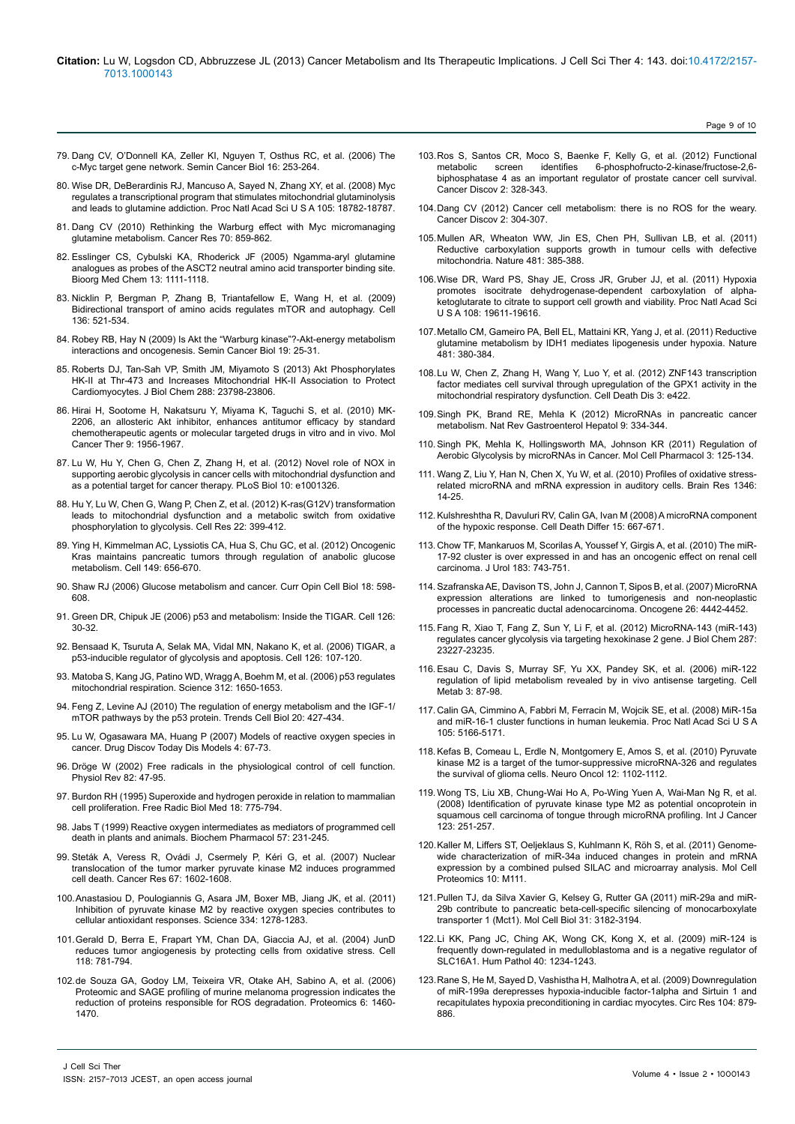- 79. [Dang CV, O'Donnell KA, Zeller KI, Nguyen T, Osthus RC, et al. \(2006\) The](http://www.ncbi.nlm.nih.gov/pubmed/16904903) [c-Myc target gene network. Semin Cancer Biol 16: 253-264.](http://www.ncbi.nlm.nih.gov/pubmed/16904903)
- 80. [Wise DR, DeBerardinis RJ, Mancuso A, Sayed N, Zhang XY, et al. \(2008\) Myc](http://www.ncbi.nlm.nih.gov/pubmed/19033189) [regulates a transcriptional program that stimulates mitochondrial glutaminolysis](http://www.ncbi.nlm.nih.gov/pubmed/19033189) [and leads to glutamine addiction. Proc Natl Acad Sci U S A 105: 18782-18787.](http://www.ncbi.nlm.nih.gov/pubmed/19033189)
- 81. [Dang CV \(2010\) Rethinking the Warburg effect with Myc micromanaging](http://www.ncbi.nlm.nih.gov/pubmed/20086171) [glutamine metabolism. Cancer Res 70: 859-862.](http://www.ncbi.nlm.nih.gov/pubmed/20086171)
- 82. [Esslinger CS, Cybulski KA, Rhoderick JF \(2005\) Ngamma-aryl glutamine](http://www.ncbi.nlm.nih.gov/pubmed/15670919) [analogues as probes of the ASCT2 neutral amino acid transporter binding site.](http://www.ncbi.nlm.nih.gov/pubmed/15670919) [Bioorg Med Chem 13: 1111-1118.](http://www.ncbi.nlm.nih.gov/pubmed/15670919)
- 83. [Nicklin P, Bergman P, Zhang B, Triantafellow E, Wang H, et al. \(2009\)](http://www.ncbi.nlm.nih.gov/pubmed/19203585) [Bidirectional transport of amino acids regulates mTOR and autophagy. Cell](http://www.ncbi.nlm.nih.gov/pubmed/19203585) [136: 521-534.](http://www.ncbi.nlm.nih.gov/pubmed/19203585)
- 84. [Robey RB, Hay N \(2009\) Is Akt the "Warburg kinase"?-Akt-energy metabolism](http://www.ncbi.nlm.nih.gov/pubmed/19130886) [interactions and oncogenesis. Semin Cancer Biol 19: 25-31.](http://www.ncbi.nlm.nih.gov/pubmed/19130886)
- 85. [Roberts DJ, Tan-Sah VP, Smith JM, Miyamoto S \(2013\) Akt Phosphorylates](http://www.ncbi.nlm.nih.gov/pubmed/23836898) [HK-II at Thr-473 and Increases Mitochondrial HK-II Association to Protect](http://www.ncbi.nlm.nih.gov/pubmed/23836898) [Cardiomyocytes. J Biol Chem 288: 23798-23806.](http://www.ncbi.nlm.nih.gov/pubmed/23836898)
- 86. [Hirai H, Sootome H, Nakatsuru Y, Miyama K, Taguchi S, et al. \(2010\) MK-](http://www.ncbi.nlm.nih.gov/pubmed/20571069)[2206, an allosteric Akt inhibitor, enhances antitumor efficacy by standard](http://www.ncbi.nlm.nih.gov/pubmed/20571069) [chemotherapeutic agents or molecular targeted drugs in vitro and in vivo. Mol](http://www.ncbi.nlm.nih.gov/pubmed/20571069) [Cancer Ther 9: 1956-1967.](http://www.ncbi.nlm.nih.gov/pubmed/20571069)
- 87. [Lu W, Hu Y, Chen G, Chen Z, Zhang H, et al. \(2012\) Novel role of NOX in](http://www.ncbi.nlm.nih.gov/pubmed/22589701) [supporting aerobic glycolysis in cancer cells with mitochondrial dysfunction and](http://www.ncbi.nlm.nih.gov/pubmed/22589701) [as a potential target for cancer therapy. PLoS Biol 10: e1001326.](http://www.ncbi.nlm.nih.gov/pubmed/22589701)
- 88. [Hu Y, Lu W, Chen G, Wang P, Chen Z, et al. \(2012\) K-ras\(G12V\) transformation](http://www.ncbi.nlm.nih.gov/pubmed/21876558) [leads to mitochondrial dysfunction and a metabolic switch from oxidative](http://www.ncbi.nlm.nih.gov/pubmed/21876558) [phosphorylation to glycolysis. Cell Res 22: 399-412.](http://www.ncbi.nlm.nih.gov/pubmed/21876558)
- 89. [Ying H, Kimmelman AC, Lyssiotis CA, Hua S, Chu GC, et al. \(2012\) Oncogenic](http://www.ncbi.nlm.nih.gov/pubmed/22541435) [Kras maintains pancreatic tumors through regulation of anabolic glucose](http://www.ncbi.nlm.nih.gov/pubmed/22541435) [metabolism. Cell 149: 656-670.](http://www.ncbi.nlm.nih.gov/pubmed/22541435)
- 90. [Shaw RJ \(2006\) Glucose metabolism and cancer. Curr Opin Cell Biol 18: 598-](http://www.ncbi.nlm.nih.gov/pubmed/17046224) [608.](http://www.ncbi.nlm.nih.gov/pubmed/17046224)
- 91. [Green DR, Chipuk JE \(2006\) p53 and metabolism: Inside the TIGAR. Cell 126:](http://www.ncbi.nlm.nih.gov/pubmed/16839873) [30-32.](http://www.ncbi.nlm.nih.gov/pubmed/16839873)
- 92. [Bensaad K, Tsuruta A, Selak MA, Vidal MN, Nakano K, et al. \(2006\) TIGAR, a](http://www.ncbi.nlm.nih.gov/pubmed/16839880) [p53-inducible regulator of glycolysis and apoptosis. Cell 126: 107-120.](http://www.ncbi.nlm.nih.gov/pubmed/16839880)
- 93. [Matoba S, Kang JG, Patino WD, Wragg A, Boehm M, et al. \(2006\) p53 regulates](http://www.ncbi.nlm.nih.gov/pubmed/16728594) [mitochondrial respiration. Science 312: 1650-1653.](http://www.ncbi.nlm.nih.gov/pubmed/16728594)
- 94. [Feng Z, Levine AJ \(2010\) The regulation of energy metabolism and the IGF-1/](http://www.ncbi.nlm.nih.gov/pubmed/20399660) [mTOR pathways by the p53 protein. Trends Cell Biol 20: 427-434.](http://www.ncbi.nlm.nih.gov/pubmed/20399660)
- 95. [Lu W, Ogasawara MA, Huang P \(2007\) Models of reactive oxygen species in](http://www.ncbi.nlm.nih.gov/pubmed/18591999) [cancer. Drug Discov Today Dis Models 4: 67-73.](http://www.ncbi.nlm.nih.gov/pubmed/18591999)
- 96. [Dröge W \(2002\) Free radicals in the physiological control of cell function.](http://www.ncbi.nlm.nih.gov/pubmed/11773609) [Physiol Rev 82: 47-95.](http://www.ncbi.nlm.nih.gov/pubmed/11773609)
- 97. [Burdon RH \(1995\) Superoxide and hydrogen peroxide in relation to mammalian](http://www.ncbi.nlm.nih.gov/pubmed/7750801) [cell proliferation. Free Radic Biol Med 18: 775-794.](http://www.ncbi.nlm.nih.gov/pubmed/7750801)
- 98. [Jabs T \(1999\) Reactive oxygen intermediates as mediators of programmed cell](http://www.ncbi.nlm.nih.gov/pubmed/9890550) [death in plants and animals. Biochem Pharmacol 57: 231-245.](http://www.ncbi.nlm.nih.gov/pubmed/9890550)
- 99. [Steták A, Veress R, Ovádi J, Csermely P, Kéri G, et al. \(2007\) Nuclear](http://www.ncbi.nlm.nih.gov/pubmed/17308100) [translocation of the tumor marker pyruvate kinase M2 induces programmed](http://www.ncbi.nlm.nih.gov/pubmed/17308100) [cell death. Cancer Res 67: 1602-1608.](http://www.ncbi.nlm.nih.gov/pubmed/17308100)
- 100.[Anastasiou D, Poulogiannis G, Asara JM, Boxer MB, Jiang JK, et al. \(2011\)](http://www.ncbi.nlm.nih.gov/pubmed/22052977) [Inhibition of pyruvate kinase M2 by reactive oxygen species contributes to](http://www.ncbi.nlm.nih.gov/pubmed/22052977) [cellular antioxidant responses. Science 334: 1278-1283.](http://www.ncbi.nlm.nih.gov/pubmed/22052977)
- 101.[Gerald D, Berra E, Frapart YM, Chan DA, Giaccia AJ, et al. \(2004\) JunD](http://www.ncbi.nlm.nih.gov/pubmed/15369676) [reduces tumor angiogenesis by protecting cells from oxidative stress. Cell](http://www.ncbi.nlm.nih.gov/pubmed/15369676) [118: 781-794.](http://www.ncbi.nlm.nih.gov/pubmed/15369676)
- 102.[de Souza GA, Godoy LM, Teixeira VR, Otake AH, Sabino A, et al. \(2006\)](http://www.ncbi.nlm.nih.gov/pubmed/16429458) [Proteomic and SAGE profiling of murine melanoma progression indicates the](http://www.ncbi.nlm.nih.gov/pubmed/16429458) [reduction of proteins responsible for ROS degradation. Proteomics 6: 1460-](http://www.ncbi.nlm.nih.gov/pubmed/16429458) [1470.](http://www.ncbi.nlm.nih.gov/pubmed/16429458)
- 103.[Ros S, Santos CR, Moco S, Baenke F, Kelly G, et al. \(2012\) Functional](http://www.ncbi.nlm.nih.gov/pubmed/22576210)  6-phosphofructo-2-kinase/fructose-2,6[biphosphatase 4 as an important regulator of prostate cancer cell survival.](http://www.ncbi.nlm.nih.gov/pubmed/22576210)  [Cancer Discov 2: 328-343.](http://www.ncbi.nlm.nih.gov/pubmed/22576210)
- 104.[Dang CV \(2012\) Cancer cell metabolism: there is no ROS for the weary.](http://www.ncbi.nlm.nih.gov/pubmed/22576206)  [Cancer Discov 2: 304-307.](http://www.ncbi.nlm.nih.gov/pubmed/22576206)
- 105.[Mullen AR, Wheaton WW, Jin ES, Chen PH, Sullivan LB, et al. \(2011\)](http://www.ncbi.nlm.nih.gov/pubmed/22101431)  [Reductive carboxylation supports growth in tumour cells with defective](http://www.ncbi.nlm.nih.gov/pubmed/22101431)  [mitochondria. Nature 481: 385-388.](http://www.ncbi.nlm.nih.gov/pubmed/22101431)
- 106.[Wise DR, Ward PS, Shay JE, Cross JR, Gruber JJ, et al. \(2011\) Hypoxia](http://www.ncbi.nlm.nih.gov/pubmed/22106302)  [promotes isocitrate dehydrogenase-dependent carboxylation of alpha](http://www.ncbi.nlm.nih.gov/pubmed/22106302)[ketoglutarate to citrate to support cell growth and viability. Proc Natl Acad Sci](http://www.ncbi.nlm.nih.gov/pubmed/22106302)  [U S A 108: 19611-19616.](http://www.ncbi.nlm.nih.gov/pubmed/22106302)
- 107.[Metallo CM, Gameiro PA, Bell EL, Mattaini KR, Yang J, et al. \(2011\) Reductive](http://www.ncbi.nlm.nih.gov/pubmed/22101433)  [glutamine metabolism by IDH1 mediates lipogenesis under hypoxia. Nature](http://www.ncbi.nlm.nih.gov/pubmed/22101433)  [481: 380-384.](http://www.ncbi.nlm.nih.gov/pubmed/22101433)
- 108.[Lu W, Chen Z, Zhang H, Wang Y, Luo Y, et al. \(2012\) ZNF143 transcription](http://www.ncbi.nlm.nih.gov/pubmed/23152058)  [factor mediates cell survival through upregulation of the GPX1 activity in the](http://www.ncbi.nlm.nih.gov/pubmed/23152058)  [mitochondrial respiratory dysfunction. Cell Death Dis 3: e422.](http://www.ncbi.nlm.nih.gov/pubmed/23152058)
- 109.[Singh PK, Brand RE, Mehla K \(2012\) MicroRNAs in pancreatic cancer](http://www.ncbi.nlm.nih.gov/pubmed/22508159)  [metabolism. Nat Rev Gastroenterol Hepatol 9: 334-344.](http://www.ncbi.nlm.nih.gov/pubmed/22508159)
- 110.[Singh PK, Mehla K, Hollingsworth MA, Johnson KR \(2011\) Regulation of](http://www.ncbi.nlm.nih.gov/pubmed/22792411)  [Aerobic Glycolysis by microRNAs in Cancer. Mol Cell Pharmacol 3: 125-134.](http://www.ncbi.nlm.nih.gov/pubmed/22792411)
- 111. [Wang Z, Liu Y, Han N, Chen X, Yu W, et al. \(2010\) Profiles of oxidative stress](http://www.ncbi.nlm.nih.gov/pubmed/20510889)[related microRNA and mRNA expression in auditory cells. Brain Res 1346:](http://www.ncbi.nlm.nih.gov/pubmed/20510889)  [14-25.](http://www.ncbi.nlm.nih.gov/pubmed/20510889)
- 112.[Kulshreshtha R, Davuluri RV, Calin GA, Ivan M \(2008\) A microRNA component](http://www.ncbi.nlm.nih.gov/pubmed/18219318)  [of the hypoxic response. Cell Death Differ 15: 667-671.](http://www.ncbi.nlm.nih.gov/pubmed/18219318)
- 113. [Chow TF, Mankaruos M, Scorilas A, Youssef Y, Girgis A, et al. \(2010\) The miR-](http://www.ncbi.nlm.nih.gov/pubmed/20022054)[17-92 cluster is over expressed in and has an oncogenic effect on renal cell](http://www.ncbi.nlm.nih.gov/pubmed/20022054)  [carcinoma. J Urol 183: 743-751.](http://www.ncbi.nlm.nih.gov/pubmed/20022054)
- 114.[Szafranska AE, Davison TS, John J, Cannon T, Sipos B, et al. \(2007\) MicroRNA](http://www.ncbi.nlm.nih.gov/pubmed/17237814)  [expression alterations are linked to tumorigenesis and non-neoplastic](http://www.ncbi.nlm.nih.gov/pubmed/17237814)  [processes in pancreatic ductal adenocarcinoma. Oncogene 26: 4442-4452.](http://www.ncbi.nlm.nih.gov/pubmed/17237814)
- 115. [Fang R, Xiao T, Fang Z, Sun Y, Li F, et al. \(2012\) MicroRNA-143 \(miR-143\)](http://www.ncbi.nlm.nih.gov/pubmed/22593586)  [regulates cancer glycolysis via targeting hexokinase 2 gene. J Biol Chem 287:](http://www.ncbi.nlm.nih.gov/pubmed/22593586)  [23227-23235.](http://www.ncbi.nlm.nih.gov/pubmed/22593586)
- 116.[Esau C, Davis S, Murray SF, Yu XX, Pandey SK, et al. \(2006\) miR-122](http://www.ncbi.nlm.nih.gov/pubmed/16459310)  [regulation of lipid metabolism revealed by in vivo antisense targeting. Cell](http://www.ncbi.nlm.nih.gov/pubmed/16459310)  [Metab 3: 87-98.](http://www.ncbi.nlm.nih.gov/pubmed/16459310)
- 117. [Calin GA, Cimmino A, Fabbri M, Ferracin M, Wojcik SE, et al. \(2008\) MiR-15a](http://www.ncbi.nlm.nih.gov/pubmed/18362358)  [and miR-16-1 cluster functions in human leukemia. Proc Natl Acad Sci U S A](http://www.ncbi.nlm.nih.gov/pubmed/18362358)  [105: 5166-5171.](http://www.ncbi.nlm.nih.gov/pubmed/18362358)
- 118.[Kefas B, Comeau L, Erdle N, Montgomery E, Amos S, et al. \(2010\) Pyruvate](http://www.ncbi.nlm.nih.gov/pubmed/20667897)  [kinase M2 is a target of the tumor-suppressive microRNA-326 and regulates](http://www.ncbi.nlm.nih.gov/pubmed/20667897)  [the survival of glioma cells. Neuro Oncol 12: 1102-1112.](http://www.ncbi.nlm.nih.gov/pubmed/20667897)
- 119.[Wong TS, Liu XB, Chung-Wai Ho A, Po-Wing Yuen A, Wai-Man Ng R, et al.](http://www.ncbi.nlm.nih.gov/pubmed/18464261)  [\(2008\) Identification of pyruvate kinase type M2 as potential oncoprotein in](http://www.ncbi.nlm.nih.gov/pubmed/18464261)  [squamous cell carcinoma of tongue through microRNA profiling. Int J Cancer](http://www.ncbi.nlm.nih.gov/pubmed/18464261)  [123: 251-257.](http://www.ncbi.nlm.nih.gov/pubmed/18464261)
- 120.[Kaller M, Liffers ST, Oeljeklaus S, Kuhlmann K, Röh S, et al. \(2011\) Genome](http://www.ncbi.nlm.nih.gov/pubmed/21566225)[wide characterization of miR-34a induced changes in protein and mRNA](http://www.ncbi.nlm.nih.gov/pubmed/21566225)  [expression by a combined pulsed SILAC and microarray analysis. Mol Cell](http://www.ncbi.nlm.nih.gov/pubmed/21566225)  [Proteomics 10: M111.](http://www.ncbi.nlm.nih.gov/pubmed/21566225)
- 121.[Pullen TJ, da Silva Xavier G, Kelsey G, Rutter GA \(2011\) miR-29a and miR-](http://www.ncbi.nlm.nih.gov/pubmed/21646425)[29b contribute to pancreatic beta-cell-specific silencing of monocarboxylate](http://www.ncbi.nlm.nih.gov/pubmed/21646425)  [transporter 1 \(Mct1\). Mol Cell Biol 31: 3182-3194.](http://www.ncbi.nlm.nih.gov/pubmed/21646425)
- 122.[Li KK, Pang JC, Ching AK, Wong CK, Kong X, et al. \(2009\) miR-124 is](http://www.ncbi.nlm.nih.gov/pubmed/19427019)  [frequently down-regulated in medulloblastoma and is a negative regulator of](http://www.ncbi.nlm.nih.gov/pubmed/19427019)  [SLC16A1. Hum Pathol 40: 1234-1243.](http://www.ncbi.nlm.nih.gov/pubmed/19427019)
- 123.[Rane S, He M, Sayed D, Vashistha H, Malhotra A, et al. \(2009\) Downregulation](http://www.ncbi.nlm.nih.gov/pubmed/19265035)  [of miR-199a derepresses hypoxia-inducible factor-1alpha and Sirtuin 1 and](http://www.ncbi.nlm.nih.gov/pubmed/19265035)  [recapitulates hypoxia preconditioning in cardiac myocytes. Circ Res 104: 879-](http://www.ncbi.nlm.nih.gov/pubmed/19265035) [886.](http://www.ncbi.nlm.nih.gov/pubmed/19265035)

Page 9 of 10